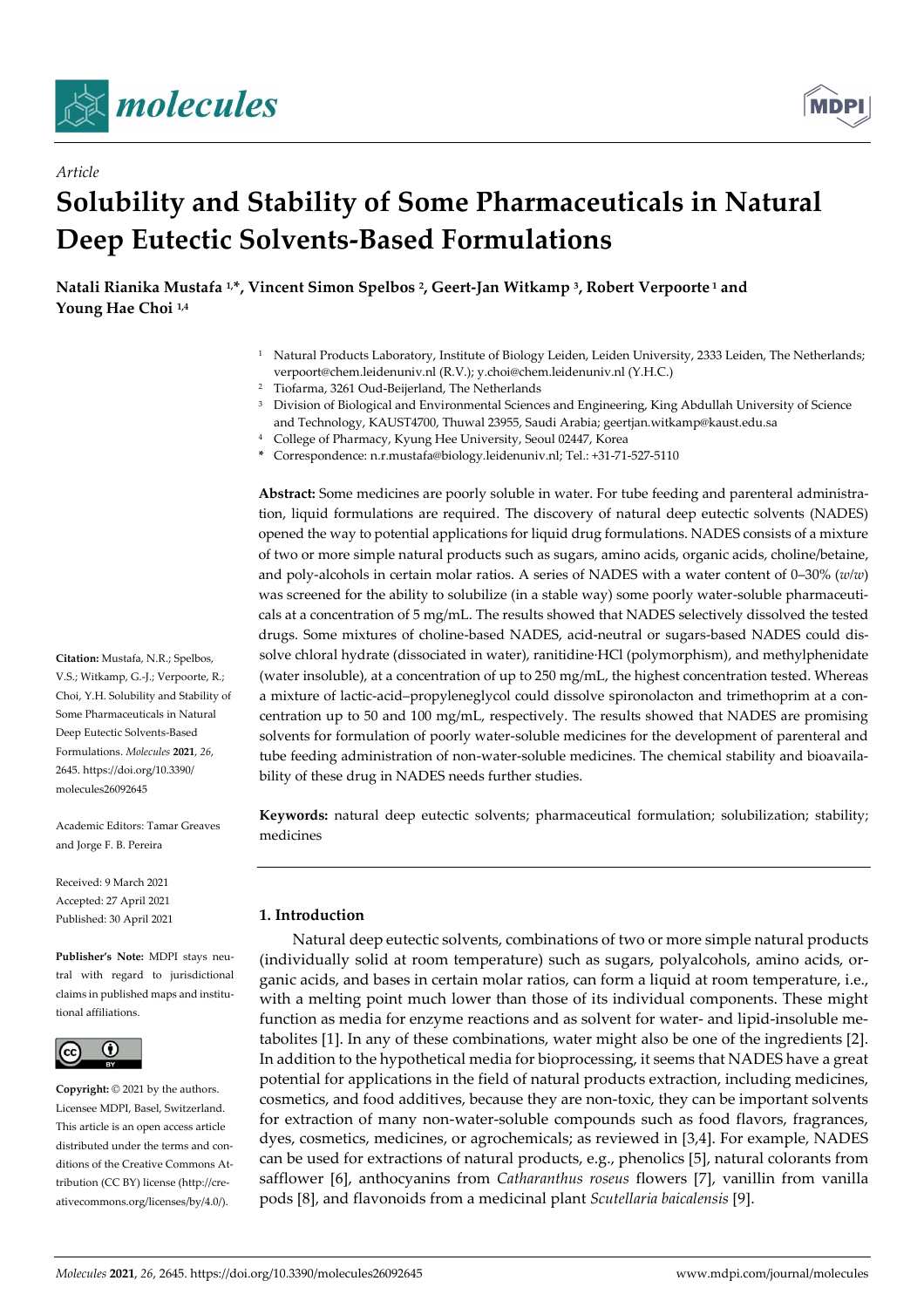

*Article*



# **Solubility and Stability of Some Pharmaceuticals in Natural Deep Eutectic Solvents-Based Formulations**

**Natali Rianika Mustafa 1,\*, Vincent Simon Spelbos <sup>2</sup> , Geert-Jan Witkamp <sup>3</sup> , Robert Verpoorte <sup>1</sup> and Young Hae Choi 1,4**

- <sup>1</sup> Natural Products Laboratory, Institute of Biology Leiden, Leiden University, 2333 Leiden, The Netherlands; verpoort@chem.leidenuniv.nl (R.V.); y.choi@chem.leidenuniv.nl (Y.H.C.)
- <sup>2</sup> Tiofarma, 3261 Oud-Beijerland, The Netherlands
- <sup>3</sup> Division of Biological and Environmental Sciences and Engineering, King Abdullah University of Science and Technology, KAUST4700, Thuwal 23955, Saudi Arabia; geertjan.witkamp@kaust.edu.sa
- <sup>4</sup> College of Pharmacy, Kyung Hee University, Seoul 02447, Korea
- **\*** Correspondence: n.r.mustafa@biology.leidenuniv.nl; Tel.: +31-71-527-5110

**Abstract:** Some medicines are poorly soluble in water. For tube feeding and parenteral administration, liquid formulations are required. The discovery of natural deep eutectic solvents (NADES) opened the way to potential applications for liquid drug formulations. NADES consists of a mixture of two or more simple natural products such as sugars, amino acids, organic acids, choline/betaine, and poly-alcohols in certain molar ratios. A series of NADES with a water content of 0–30% (*w/w*) was screened for the ability to solubilize (in a stable way) some poorly water-soluble pharmaceuticals at a concentration of 5 mg/mL. The results showed that NADES selectively dissolved the tested drugs. Some mixtures of choline-based NADES, acid-neutral or sugars-based NADES could dissolve chloral hydrate (dissociated in water), ranitidine·HCl (polymorphism), and methylphenidate (water insoluble), at a concentration of up to 250 mg/mL, the highest concentration tested. Whereas a mixture of lactic-acid–propyleneglycol could dissolve spironolacton and trimethoprim at a concentration up to 50 and 100 mg/mL, respectively. The results showed that NADES are promising solvents for formulation of poorly water-soluble medicines for the development of parenteral and tube feeding administration of non-water-soluble medicines. The chemical stability and bioavailability of these drug in NADES needs further studies.

**Keywords:** natural deep eutectic solvents; pharmaceutical formulation; solubilization; stability; medicines

# **1. Introduction**

Natural deep eutectic solvents, combinations of two or more simple natural products (individually solid at room temperature) such as sugars, polyalcohols, amino acids, organic acids, and bases in certain molar ratios, can form a liquid at room temperature, i.e., with a melting point much lower than those of its individual components. These might function as media for enzyme reactions and as solvent for water- and lipid-insoluble metabolites [1]. In any of these combinations, water might also be one of the ingredients [2]. In addition to the hypothetical media for bioprocessing, it seems that NADES have a great potential for applications in the field of natural products extraction, including medicines, cosmetics, and food additives, because they are non-toxic, they can be important solvents for extraction of many non-water-soluble compounds such as food flavors, fragrances, dyes, cosmetics, medicines, or agrochemicals; as reviewed in [3,4]. For example, NADES can be used for extractions of natural products, e.g., phenolics [5], natural colorants from safflower [6], anthocyanins from *Catharanthus roseus* flowers [7], vanillin from vanilla pods [8], and flavonoids from a medicinal plant *Scutellaria baicalensis* [9].

**Citation:** Mustafa, N.R.; Spelbos, V.S.; Witkamp, G.-J.; Verpoorte, R.; Choi, Y.H. Solubility and Stability of Some Pharmaceuticals in Natural Deep Eutectic Solvents-Based Formulations. *Molecules* **2021**, *26*, 2645. https://doi.org/10.3390/ molecules26092645

Academic Editors: Tamar Greaves and Jorge F. B. Pereira

Received: 9 March 2021 Accepted: 27 April 2021 Published: 30 April 2021

**Publisher's Note:** MDPI stays neutral with regard to jurisdictional claims in published maps and institutional affiliations.



**Copyright:** © 2021 by the authors. Licensee MDPI, Basel, Switzerland. This article is an open access article distributed under the terms and conditions of the Creative Commons Attribution (CC BY) license (http://creativecommons.org/licenses/by/4.0/).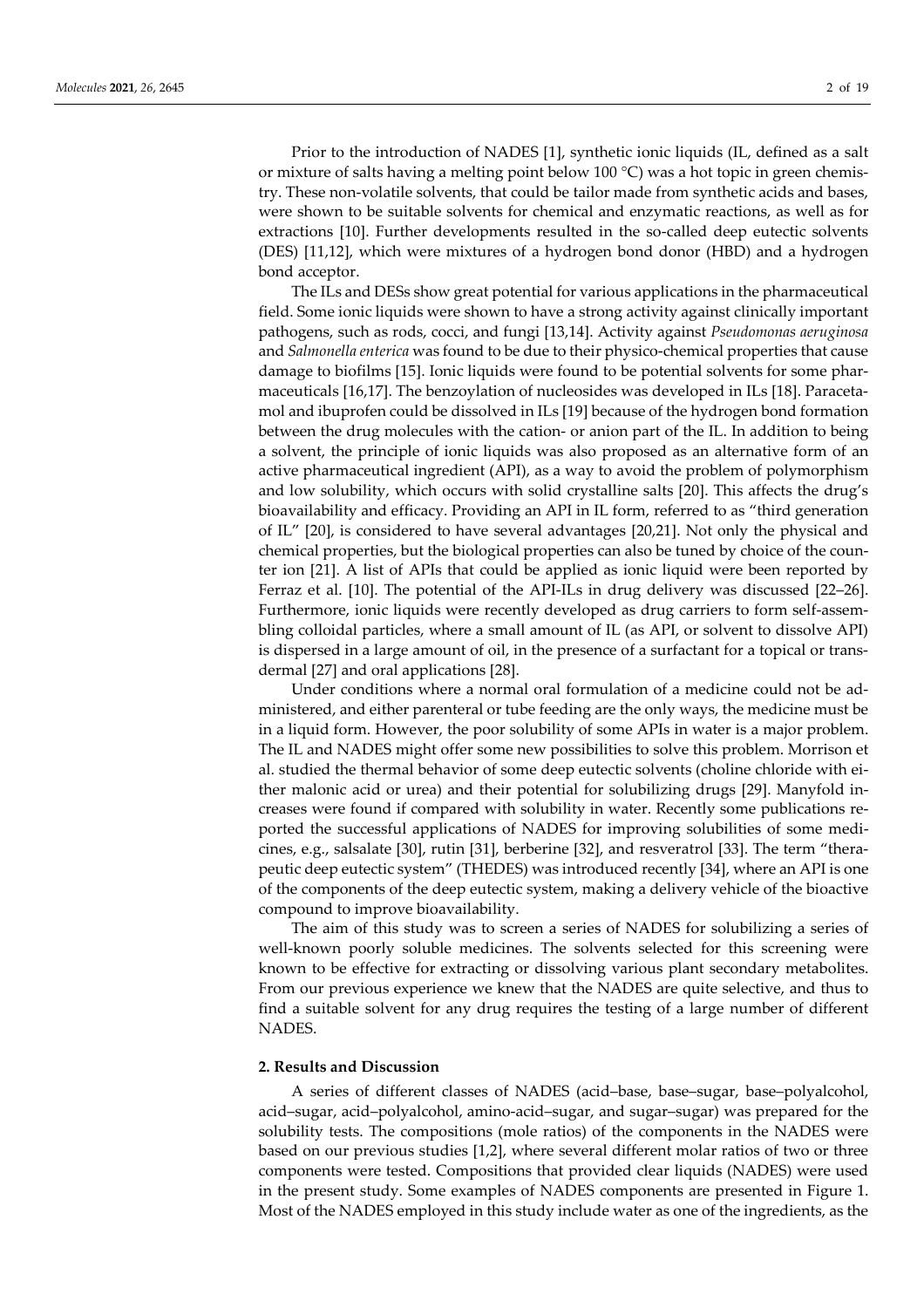Prior to the introduction of NADES [1], synthetic ionic liquids (IL, defined as a salt or mixture of salts having a melting point below 100 °C) was a hot topic in green chemistry. These non-volatile solvents, that could be tailor made from synthetic acids and bases, were shown to be suitable solvents for chemical and enzymatic reactions, as well as for extractions [10]. Further developments resulted in the so-called deep eutectic solvents (DES) [11,12], which were mixtures of a hydrogen bond donor (HBD) and a hydrogen bond acceptor.

The ILs and DESs show great potential for various applications in the pharmaceutical field. Some ionic liquids were shown to have a strong activity against clinically important pathogens, such as rods, cocci, and fungi [13,14]. Activity against *Pseudomonas aeruginosa* and *Salmonella enterica* was found to be due to their physico-chemical properties that cause damage to biofilms [15]. Ionic liquids were found to be potential solvents for some pharmaceuticals [16,17]. The benzoylation of nucleosides was developed in ILs [18]. Paracetamol and ibuprofen could be dissolved in ILs [19] because of the hydrogen bond formation between the drug molecules with the cation- or anion part of the IL. In addition to being a solvent, the principle of ionic liquids was also proposed as an alternative form of an active pharmaceutical ingredient (API), as a way to avoid the problem of polymorphism and low solubility, which occurs with solid crystalline salts [20]. This affects the drug's bioavailability and efficacy. Providing an API in IL form, referred to as "third generation of IL" [20], is considered to have several advantages [20,21]. Not only the physical and chemical properties, but the biological properties can also be tuned by choice of the counter ion [21]. A list of APIs that could be applied as ionic liquid were been reported by Ferraz et al. [10]. The potential of the API-ILs in drug delivery was discussed [22–26]. Furthermore, ionic liquids were recently developed as drug carriers to form self-assembling colloidal particles, where a small amount of IL (as API, or solvent to dissolve API) is dispersed in a large amount of oil, in the presence of a surfactant for a topical or transdermal [27] and oral applications [28].

Under conditions where a normal oral formulation of a medicine could not be administered, and either parenteral or tube feeding are the only ways, the medicine must be in a liquid form. However, the poor solubility of some APIs in water is a major problem. The IL and NADES might offer some new possibilities to solve this problem. Morrison et al. studied the thermal behavior of some deep eutectic solvents (choline chloride with either malonic acid or urea) and their potential for solubilizing drugs [29]. Manyfold increases were found if compared with solubility in water. Recently some publications reported the successful applications of NADES for improving solubilities of some medicines, e.g., salsalate [30], rutin [31], berberine [32], and resveratrol [33]. The term "therapeutic deep eutectic system" (THEDES) was introduced recently [34], where an API is one of the components of the deep eutectic system, making a delivery vehicle of the bioactive compound to improve bioavailability.

The aim of this study was to screen a series of NADES for solubilizing a series of well-known poorly soluble medicines. The solvents selected for this screening were known to be effective for extracting or dissolving various plant secondary metabolites. From our previous experience we knew that the NADES are quite selective, and thus to find a suitable solvent for any drug requires the testing of a large number of different NADES.

#### **2. Results and Discussion**

A series of different classes of NADES (acid–base, base–sugar, base–polyalcohol, acid–sugar, acid–polyalcohol, amino-acid–sugar, and sugar–sugar) was prepared for the solubility tests. The compositions (mole ratios) of the components in the NADES were based on our previous studies [1,2], where several different molar ratios of two or three components were tested. Compositions that provided clear liquids (NADES) were used in the present study. Some examples of NADES components are presented in Figure 1. Most of the NADES employed in this study include water as one of the ingredients, as the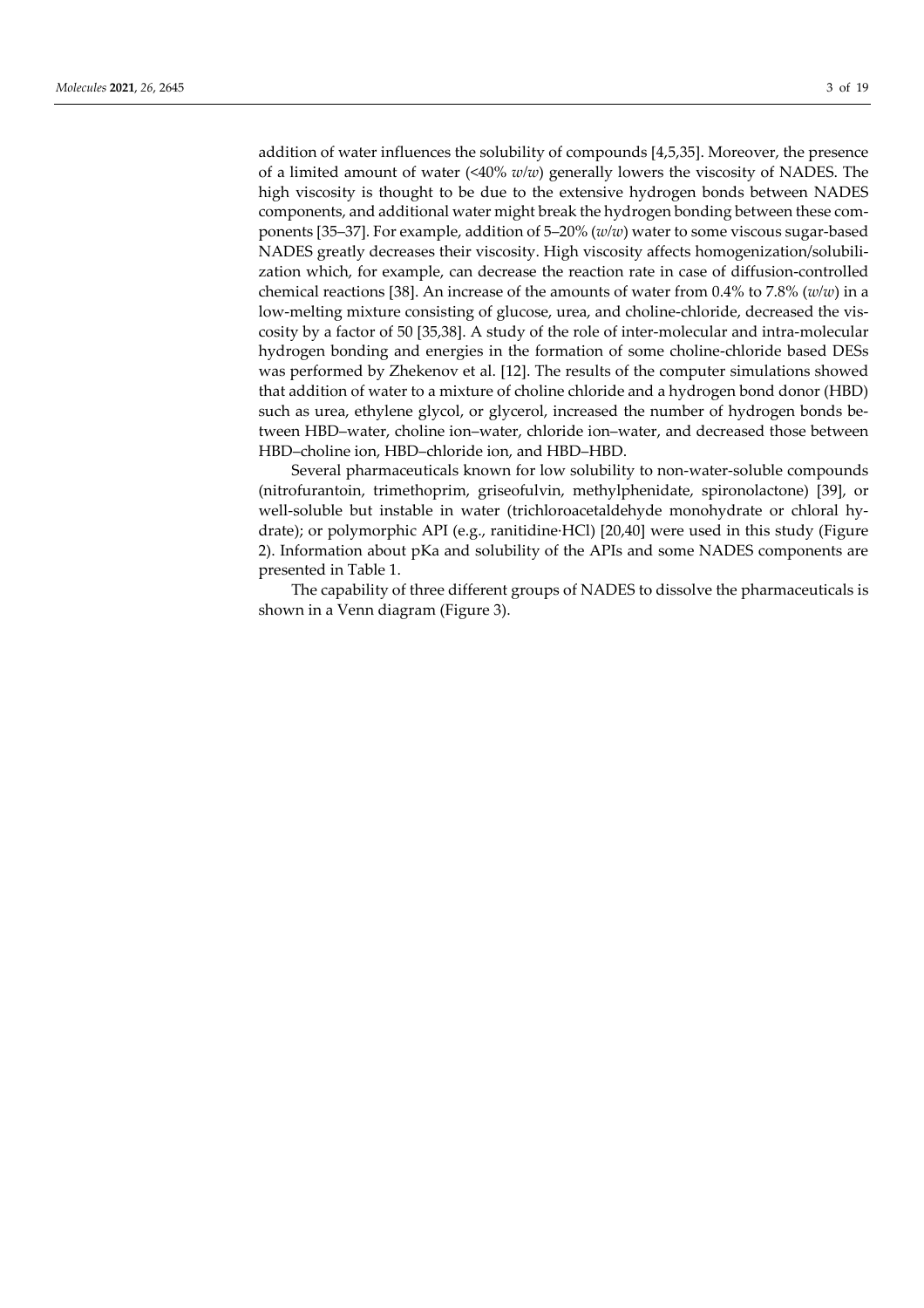addition of water influences the solubility of compounds [4,5,35]. Moreover, the presence of a limited amount of water (<40% *w/w*) generally lowers the viscosity of NADES. The high viscosity is thought to be due to the extensive hydrogen bonds between NADES components, and additional water might break the hydrogen bonding between these components [35–37]. For example, addition of 5–20% (*w/w*) water to some viscous sugar-based NADES greatly decreases their viscosity. High viscosity affects homogenization/solubilization which, for example, can decrease the reaction rate in case of diffusion-controlled chemical reactions [38]. An increase of the amounts of water from 0.4% to 7.8% (*w/w*) in a low-melting mixture consisting of glucose, urea, and choline-chloride, decreased the viscosity by a factor of 50 [35,38]. A study of the role of inter-molecular and intra-molecular hydrogen bonding and energies in the formation of some choline-chloride based DESs was performed by Zhekenov et al. [12]. The results of the computer simulations showed that addition of water to a mixture of choline chloride and a hydrogen bond donor (HBD) such as urea, ethylene glycol, or glycerol, increased the number of hydrogen bonds between HBD–water, choline ion–water, chloride ion–water, and decreased those between HBD–choline ion, HBD–chloride ion, and HBD–HBD.

Several pharmaceuticals known for low solubility to non-water-soluble compounds (nitrofurantoin, trimethoprim, griseofulvin, methylphenidate, spironolactone) [39], or well-soluble but instable in water (trichloroacetaldehyde monohydrate or chloral hydrate); or polymorphic API (e.g., ranitidine·HCl) [20,40] were used in this study (Figure 2). Information about pKa and solubility of the APIs and some NADES components are presented in Table 1.

The capability of three different groups of NADES to dissolve the pharmaceuticals is shown in a Venn diagram (Figure 3).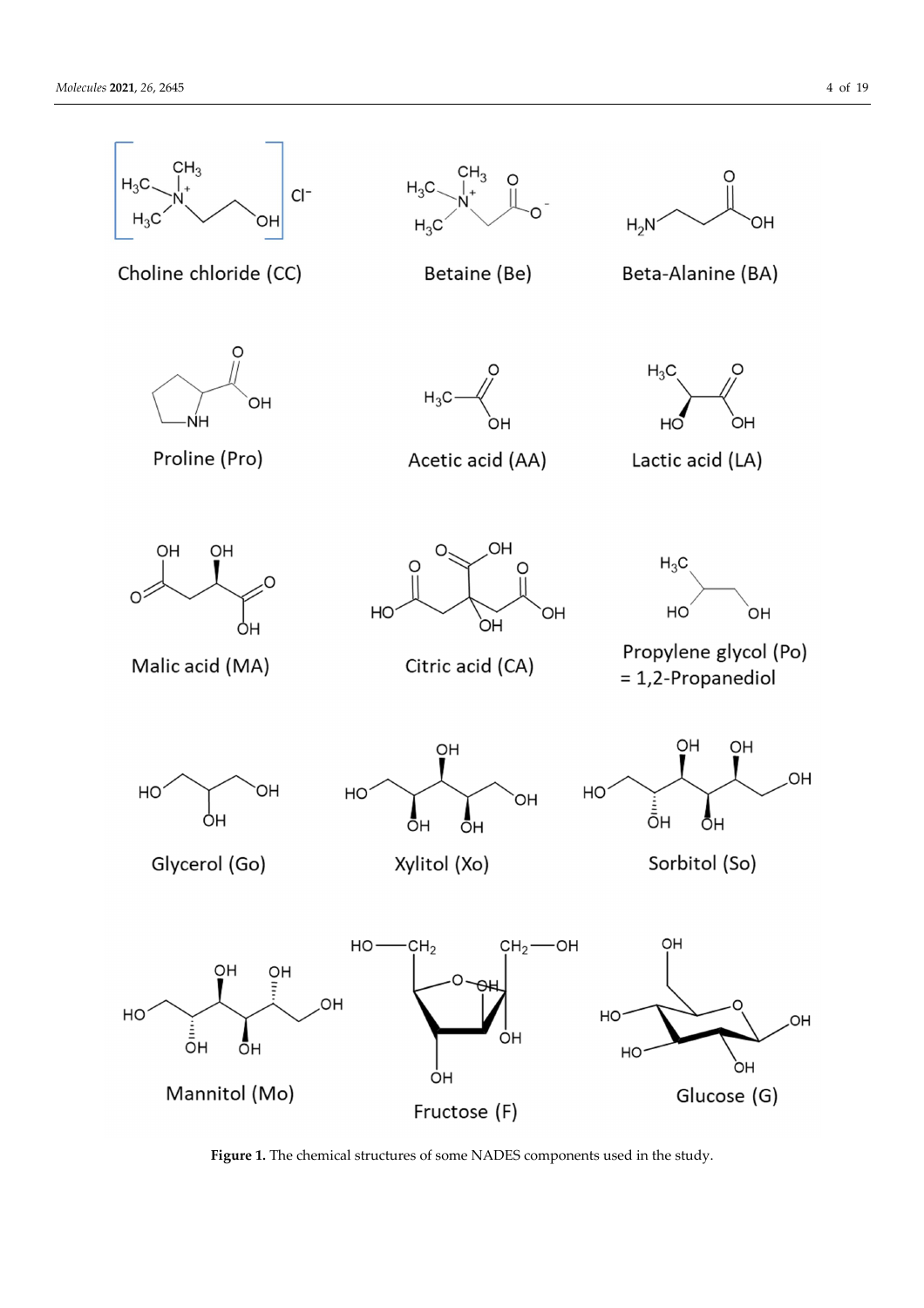

Figure 1. The chemical structures of some NADES components used in the study.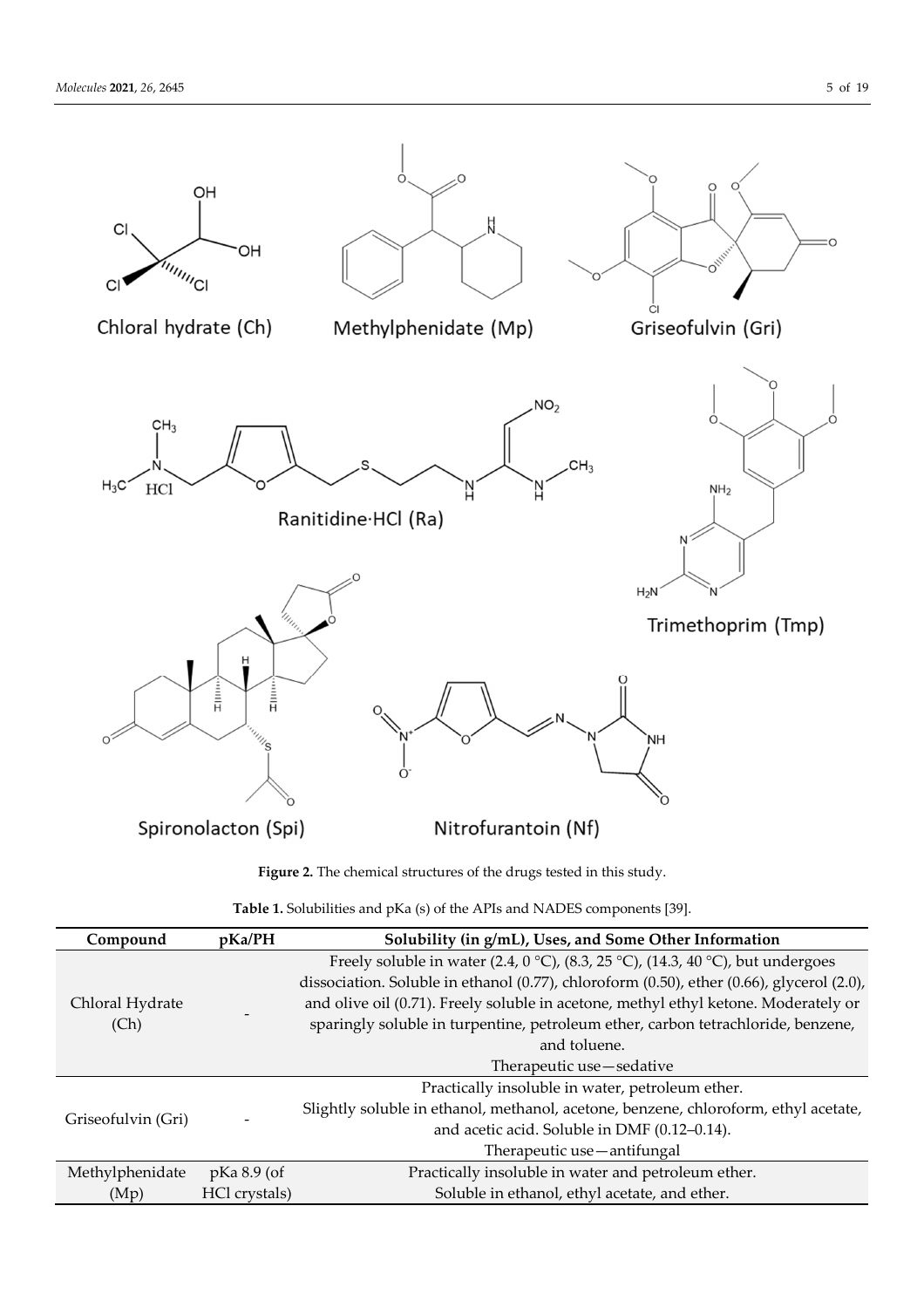

**Figure 2.** The chemical structures of the drugs tested in this study.

| Table 1. Solubilities and pKa (s) of the APIs and NADES components [39]. |
|--------------------------------------------------------------------------|
|--------------------------------------------------------------------------|

| Compound                | pKa/PH         | Solubility (in g/mL), Uses, and Some Other Information                                    |  |  |  |  |  |  |  |
|-------------------------|----------------|-------------------------------------------------------------------------------------------|--|--|--|--|--|--|--|
|                         |                | Freely soluble in water (2.4, 0 °C), (8.3, 25 °C), (14.3, 40 °C), but undergoes           |  |  |  |  |  |  |  |
| Chloral Hydrate<br>(Ch) |                | dissociation. Soluble in ethanol (0.77), chloroform (0.50), ether (0.66), glycerol (2.0), |  |  |  |  |  |  |  |
|                         |                | and olive oil (0.71). Freely soluble in acetone, methyl ethyl ketone. Moderately or       |  |  |  |  |  |  |  |
|                         |                | sparingly soluble in turpentine, petroleum ether, carbon tetrachloride, benzene,          |  |  |  |  |  |  |  |
|                         |                | and toluene.                                                                              |  |  |  |  |  |  |  |
|                         |                | Therapeutic use—sedative                                                                  |  |  |  |  |  |  |  |
|                         |                | Practically insoluble in water, petroleum ether.                                          |  |  |  |  |  |  |  |
|                         |                | Slightly soluble in ethanol, methanol, acetone, benzene, chloroform, ethyl acetate,       |  |  |  |  |  |  |  |
| Griseofulvin (Gri)      |                | and acetic acid. Soluble in DMF (0.12-0.14).                                              |  |  |  |  |  |  |  |
|                         |                | Therapeutic use - antifungal                                                              |  |  |  |  |  |  |  |
| Methylphenidate         | $p$ Ka 8.9 (of | Practically insoluble in water and petroleum ether.                                       |  |  |  |  |  |  |  |
| (Mp)                    | HCl crystals)  | Soluble in ethanol, ethyl acetate, and ether.                                             |  |  |  |  |  |  |  |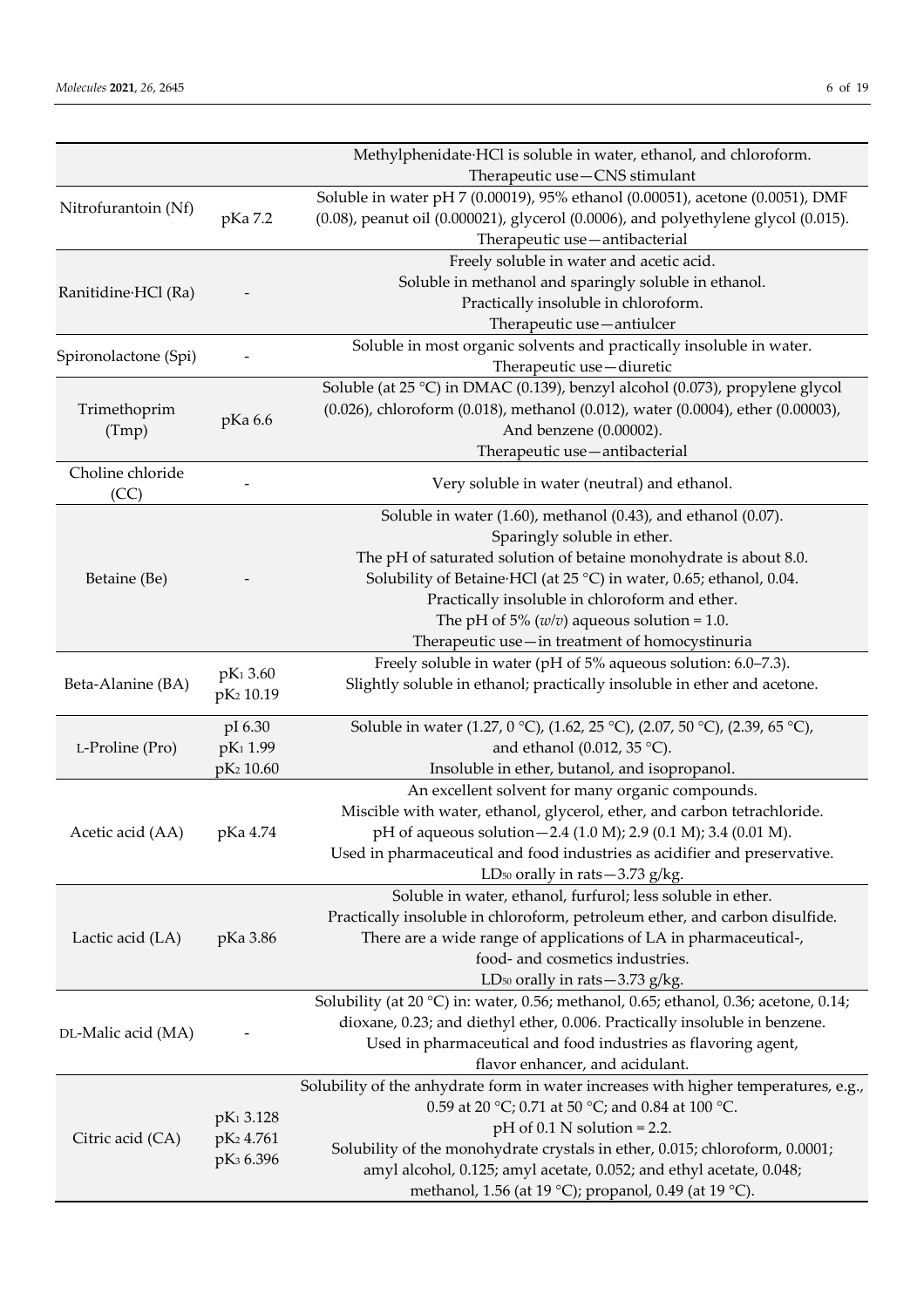|                           |                                               | Methylphenidate HCl is soluble in water, ethanol, and chloroform.                    |  |  |  |  |  |  |  |
|---------------------------|-----------------------------------------------|--------------------------------------------------------------------------------------|--|--|--|--|--|--|--|
|                           |                                               | Therapeutic use-CNS stimulant                                                        |  |  |  |  |  |  |  |
|                           |                                               | Soluble in water pH 7 (0.00019), 95% ethanol (0.00051), acetone (0.0051), DMF        |  |  |  |  |  |  |  |
| Nitrofurantoin (Nf)       | pKa 7.2                                       | (0.08), peanut oil (0.000021), glycerol (0.0006), and polyethylene glycol (0.015).   |  |  |  |  |  |  |  |
|                           |                                               | Therapeutic use-antibacterial                                                        |  |  |  |  |  |  |  |
|                           |                                               | Freely soluble in water and acetic acid.                                             |  |  |  |  |  |  |  |
|                           |                                               | Soluble in methanol and sparingly soluble in ethanol.                                |  |  |  |  |  |  |  |
| Ranitidine HCl (Ra)       |                                               | Practically insoluble in chloroform.                                                 |  |  |  |  |  |  |  |
|                           |                                               | Therapeutic use-antiulcer                                                            |  |  |  |  |  |  |  |
|                           |                                               | Soluble in most organic solvents and practically insoluble in water.                 |  |  |  |  |  |  |  |
| Spironolactone (Spi)      |                                               | Therapeutic use-diuretic                                                             |  |  |  |  |  |  |  |
|                           |                                               | Soluble (at 25 °C) in DMAC (0.139), benzyl alcohol (0.073), propylene glycol         |  |  |  |  |  |  |  |
| Trimethoprim              |                                               | (0.026), chloroform (0.018), methanol (0.012), water (0.0004), ether (0.00003),      |  |  |  |  |  |  |  |
| (Tmp)                     | pKa 6.6                                       | And benzene (0.00002).                                                               |  |  |  |  |  |  |  |
|                           |                                               | Therapeutic use-antibacterial                                                        |  |  |  |  |  |  |  |
| Choline chloride          |                                               |                                                                                      |  |  |  |  |  |  |  |
| (CC)                      |                                               | Very soluble in water (neutral) and ethanol.                                         |  |  |  |  |  |  |  |
|                           |                                               | Soluble in water $(1.60)$ , methanol $(0.43)$ , and ethanol $(0.07)$ .               |  |  |  |  |  |  |  |
|                           |                                               | Sparingly soluble in ether.                                                          |  |  |  |  |  |  |  |
|                           |                                               | The pH of saturated solution of betaine monohydrate is about 8.0.                    |  |  |  |  |  |  |  |
| Betaine (Be)              |                                               | Solubility of Betaine·HCl (at 25 °C) in water, 0.65; ethanol, 0.04.                  |  |  |  |  |  |  |  |
|                           |                                               | Practically insoluble in chloroform and ether.                                       |  |  |  |  |  |  |  |
|                           |                                               | The pH of 5% ( $w/v$ ) aqueous solution = 1.0.                                       |  |  |  |  |  |  |  |
|                           |                                               | Therapeutic use-in treatment of homocystinuria                                       |  |  |  |  |  |  |  |
|                           |                                               | Freely soluble in water (pH of 5% aqueous solution: 6.0–7.3).                        |  |  |  |  |  |  |  |
| Beta-Alanine (BA)         | pK <sub>1</sub> 3.60<br>pK <sub>2</sub> 10.19 | Slightly soluble in ethanol; practically insoluble in ether and acetone.             |  |  |  |  |  |  |  |
|                           |                                               |                                                                                      |  |  |  |  |  |  |  |
|                           | pI 6.30                                       | Soluble in water (1.27, 0 °C), (1.62, 25 °C), (2.07, 50 °C), (2.39, 65 °C),          |  |  |  |  |  |  |  |
| L-Proline (Pro)           | pK <sub>1</sub> 1.99                          | and ethanol (0.012, 35 °C).                                                          |  |  |  |  |  |  |  |
|                           | pK <sub>2</sub> 10.60                         | Insoluble in ether, butanol, and isopropanol.                                        |  |  |  |  |  |  |  |
|                           |                                               | An excellent solvent for many organic compounds.                                     |  |  |  |  |  |  |  |
|                           |                                               | Miscible with water, ethanol, glycerol, ether, and carbon tetrachloride.             |  |  |  |  |  |  |  |
| Acetic acid (AA) pKa 4.74 |                                               | pH of aqueous solution - 2.4 (1.0 M); 2.9 (0.1 M); 3.4 (0.01 M).                     |  |  |  |  |  |  |  |
|                           |                                               | Used in pharmaceutical and food industries as acidifier and preservative.            |  |  |  |  |  |  |  |
|                           |                                               | LD <sub>50</sub> orally in rats $-3.73$ g/kg.                                        |  |  |  |  |  |  |  |
|                           |                                               | Soluble in water, ethanol, furfurol; less soluble in ether.                          |  |  |  |  |  |  |  |
|                           |                                               | Practically insoluble in chloroform, petroleum ether, and carbon disulfide.          |  |  |  |  |  |  |  |
| Lactic acid (LA)          | pKa 3.86                                      | There are a wide range of applications of LA in pharmaceutical-,                     |  |  |  |  |  |  |  |
|                           |                                               | food- and cosmetics industries.                                                      |  |  |  |  |  |  |  |
|                           |                                               | LD <sub>50</sub> orally in rats $-3.73$ g/kg.                                        |  |  |  |  |  |  |  |
|                           |                                               | Solubility (at 20 °C) in: water, 0.56; methanol, 0.65; ethanol, 0.36; acetone, 0.14; |  |  |  |  |  |  |  |
| DL-Malic acid (MA)        |                                               | dioxane, 0.23; and diethyl ether, 0.006. Practically insoluble in benzene.           |  |  |  |  |  |  |  |
|                           |                                               | Used in pharmaceutical and food industries as flavoring agent,                       |  |  |  |  |  |  |  |
|                           |                                               | flavor enhancer, and acidulant.                                                      |  |  |  |  |  |  |  |
|                           |                                               | Solubility of the anhydrate form in water increases with higher temperatures, e.g.,  |  |  |  |  |  |  |  |
|                           | pK <sub>1</sub> 3.128                         | 0.59 at 20 °C; 0.71 at 50 °C; and 0.84 at 100 °C.                                    |  |  |  |  |  |  |  |
| Citric acid (CA)          | pK <sub>2</sub> 4.761                         | $pH$ of 0.1 N solution = 2.2.                                                        |  |  |  |  |  |  |  |
|                           | pK <sub>3</sub> 6.396                         | Solubility of the monohydrate crystals in ether, 0.015; chloroform, 0.0001;          |  |  |  |  |  |  |  |
|                           |                                               | amyl alcohol, 0.125; amyl acetate, 0.052; and ethyl acetate, 0.048;                  |  |  |  |  |  |  |  |
|                           |                                               | methanol, 1.56 (at 19 °C); propanol, 0.49 (at 19 °C).                                |  |  |  |  |  |  |  |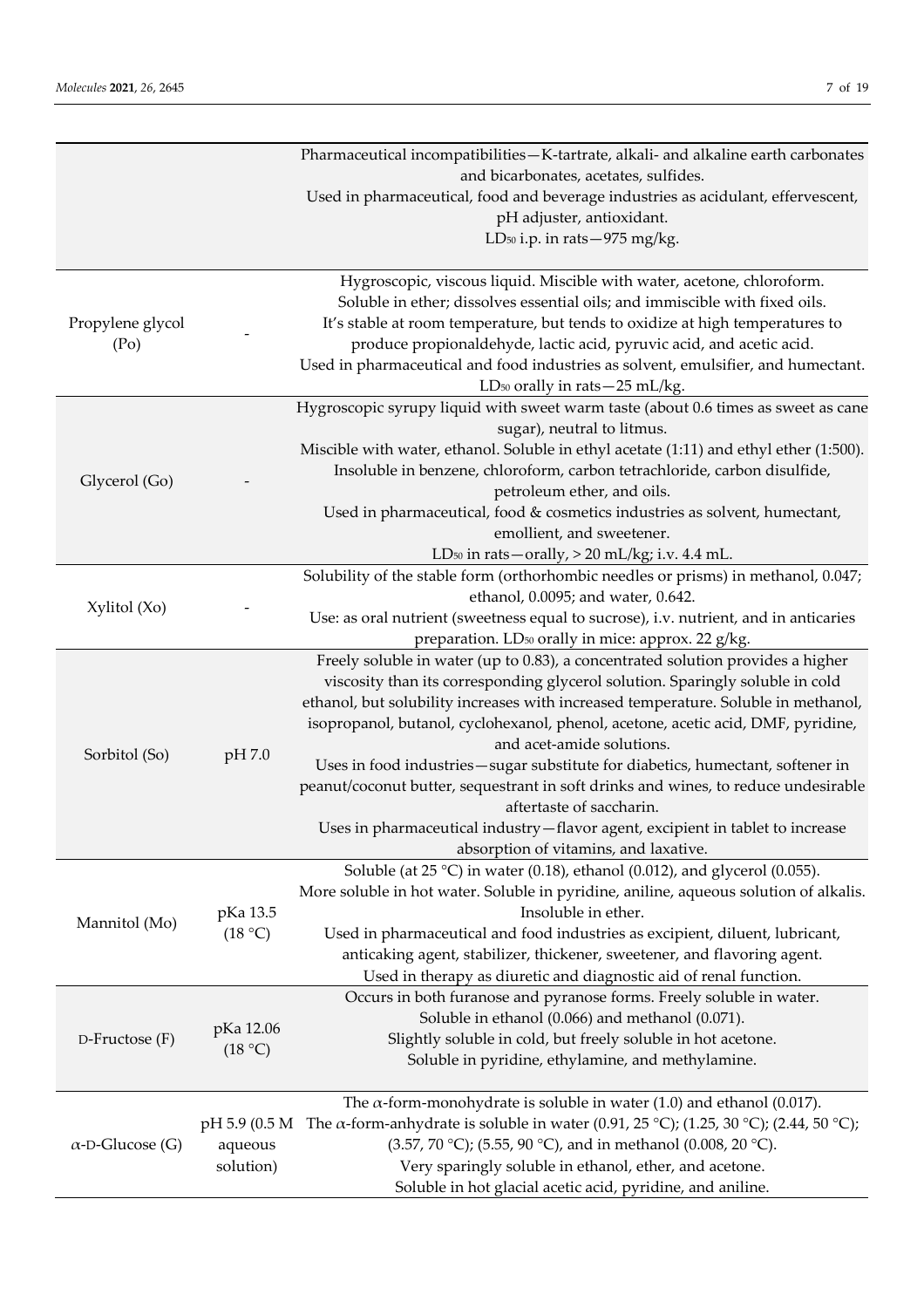|                                       |               | Pharmaceutical incompatibilities-K-tartrate, alkali- and alkaline earth carbonates                                                                    |
|---------------------------------------|---------------|-------------------------------------------------------------------------------------------------------------------------------------------------------|
|                                       |               | and bicarbonates, acetates, sulfides.                                                                                                                 |
|                                       |               | Used in pharmaceutical, food and beverage industries as acidulant, effervescent,                                                                      |
|                                       |               | pH adjuster, antioxidant.                                                                                                                             |
|                                       |               | LD <sub>50</sub> i.p. in rats-975 mg/kg.                                                                                                              |
|                                       |               |                                                                                                                                                       |
|                                       |               | Hygroscopic, viscous liquid. Miscible with water, acetone, chloroform.<br>Soluble in ether; dissolves essential oils; and immiscible with fixed oils. |
| Propylene glycol<br>(P <sub>O</sub> ) |               | It's stable at room temperature, but tends to oxidize at high temperatures to<br>produce propionaldehyde, lactic acid, pyruvic acid, and acetic acid. |
|                                       |               | Used in pharmaceutical and food industries as solvent, emulsifier, and humectant.                                                                     |
|                                       |               | LD <sub>50</sub> orally in rats - 25 mL/kg.                                                                                                           |
|                                       |               | Hygroscopic syrupy liquid with sweet warm taste (about 0.6 times as sweet as cane                                                                     |
|                                       |               | sugar), neutral to litmus.                                                                                                                            |
|                                       |               | Miscible with water, ethanol. Soluble in ethyl acetate (1:11) and ethyl ether (1:500).                                                                |
|                                       |               | Insoluble in benzene, chloroform, carbon tetrachloride, carbon disulfide,                                                                             |
| Glycerol (Go)                         |               | petroleum ether, and oils.                                                                                                                            |
|                                       |               |                                                                                                                                                       |
|                                       |               | Used in pharmaceutical, food & cosmetics industries as solvent, humectant,                                                                            |
|                                       |               | emollient, and sweetener.                                                                                                                             |
|                                       |               | LD <sub>50</sub> in rats-orally, > 20 mL/kg; i.v. 4.4 mL.                                                                                             |
|                                       |               | Solubility of the stable form (orthorhombic needles or prisms) in methanol, 0.047;                                                                    |
| Xylitol (Xo)                          |               | ethanol, 0.0095; and water, 0.642.                                                                                                                    |
|                                       |               | Use: as oral nutrient (sweetness equal to sucrose), i.v. nutrient, and in anticaries                                                                  |
|                                       |               | preparation. LD <sub>50</sub> orally in mice: approx. 22 g/kg.                                                                                        |
|                                       |               | Freely soluble in water (up to 0.83), a concentrated solution provides a higher                                                                       |
|                                       |               | viscosity than its corresponding glycerol solution. Sparingly soluble in cold                                                                         |
|                                       |               | ethanol, but solubility increases with increased temperature. Soluble in methanol,                                                                    |
|                                       | pH 7.0        | isopropanol, butanol, cyclohexanol, phenol, acetone, acetic acid, DMF, pyridine,                                                                      |
| Sorbitol (So)                         |               | and acet-amide solutions.                                                                                                                             |
|                                       |               | Uses in food industries-sugar substitute for diabetics, humectant, softener in                                                                        |
|                                       |               | peanut/coconut butter, sequestrant in soft drinks and wines, to reduce undesirable<br>aftertaste of saccharin.                                        |
|                                       |               |                                                                                                                                                       |
|                                       |               | Uses in pharmaceutical industry - flavor agent, excipient in tablet to increase                                                                       |
|                                       |               | absorption of vitamins, and laxative.                                                                                                                 |
|                                       |               | Soluble (at $25 \text{ °C}$ ) in water (0.18), ethanol (0.012), and glycerol (0.055).                                                                 |
|                                       | pKa 13.5      | More soluble in hot water. Soluble in pyridine, aniline, aqueous solution of alkalis.<br>Insoluble in ether.                                          |
| Mannitol (Mo)                         | (18 °C)       | Used in pharmaceutical and food industries as excipient, diluent, lubricant,                                                                          |
|                                       |               | anticaking agent, stabilizer, thickener, sweetener, and flavoring agent.                                                                              |
|                                       |               | Used in therapy as diuretic and diagnostic aid of renal function.                                                                                     |
|                                       |               | Occurs in both furanose and pyranose forms. Freely soluble in water.                                                                                  |
|                                       |               | Soluble in ethanol (0.066) and methanol (0.071).                                                                                                      |
| $D$ -Fructose $(F)$                   | pKa 12.06     | Slightly soluble in cold, but freely soluble in hot acetone.                                                                                          |
|                                       | (18 °C)       | Soluble in pyridine, ethylamine, and methylamine.                                                                                                     |
|                                       |               | The $\alpha$ -form-monohydrate is soluble in water (1.0) and ethanol (0.017).                                                                         |
|                                       | pH 5.9 (0.5 M | The $\alpha$ -form-anhydrate is soluble in water (0.91, 25 °C); (1.25, 30 °C); (2.44, 50 °C);                                                         |
| $\alpha$ -D-Glucose (G)               | aqueous       | (3.57, 70 °C); (5.55, 90 °C), and in methanol (0.008, 20 °C).                                                                                         |
|                                       | solution)     | Very sparingly soluble in ethanol, ether, and acetone.                                                                                                |
|                                       |               | Soluble in hot glacial acetic acid, pyridine, and aniline.                                                                                            |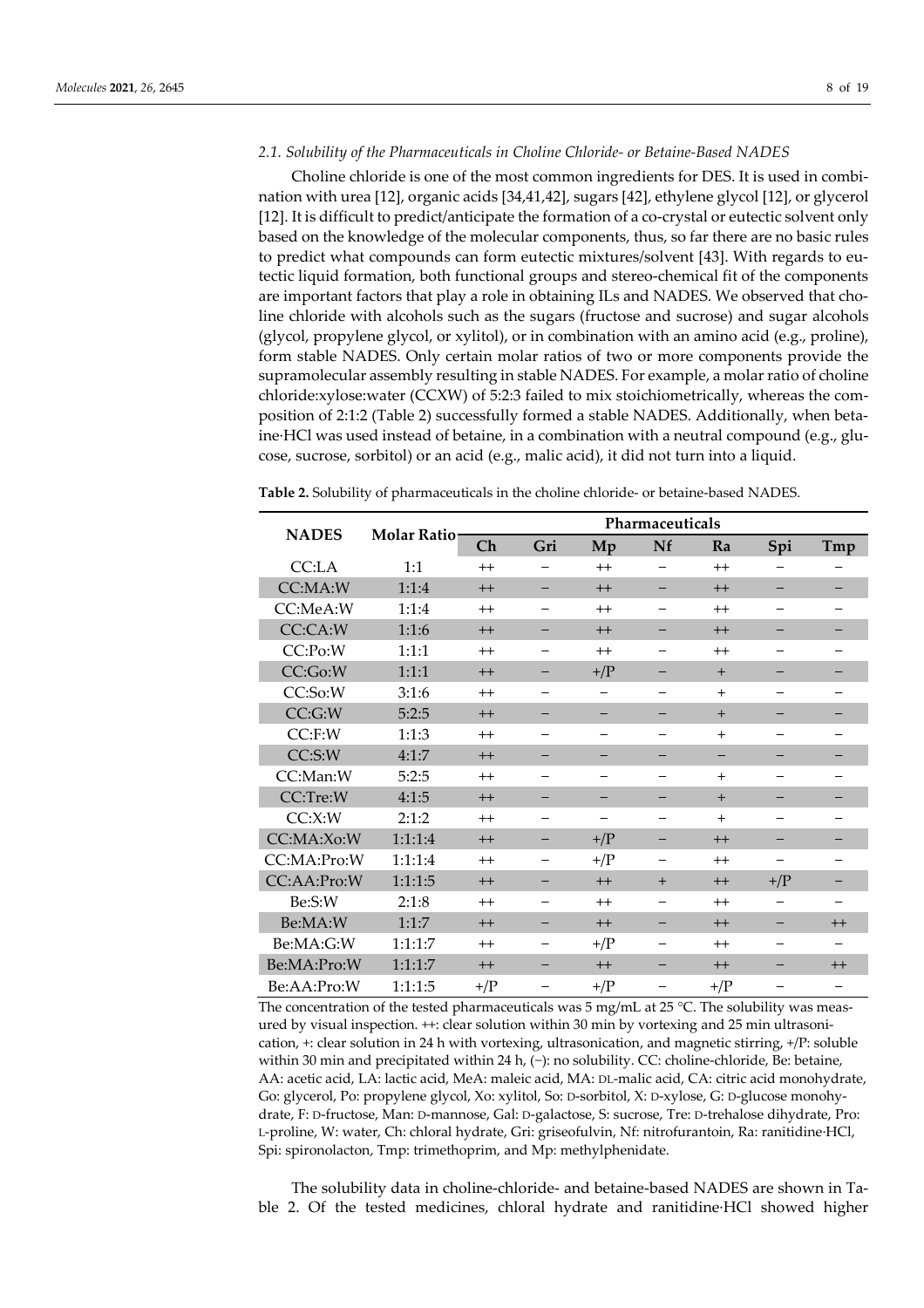#### *2.1. Solubility of the Pharmaceuticals in Choline Chloride- or Betaine-Based NADES*

Choline chloride is one of the most common ingredients for DES. It is used in combination with urea [12], organic acids [34,41,42], sugars [42], ethylene glycol [12], or glycerol [12]. It is difficult to predict/anticipate the formation of a co-crystal or eutectic solvent only based on the knowledge of the molecular components, thus, so far there are no basic rules to predict what compounds can form eutectic mixtures/solvent [43]. With regards to eutectic liquid formation, both functional groups and stereo-chemical fit of the components are important factors that play a role in obtaining ILs and NADES. We observed that choline chloride with alcohols such as the sugars (fructose and sucrose) and sugar alcohols (glycol, propylene glycol, or xylitol), or in combination with an amino acid (e.g., proline), form stable NADES. Only certain molar ratios of two or more components provide the supramolecular assembly resulting in stable NADES. For example, a molar ratio of choline chloride:xylose:water (CCXW) of 5:2:3 failed to mix stoichiometrically, whereas the composition of 2:1:2 (Table 2) successfully formed a stable NADES. Additionally, when betaine·HCl was used instead of betaine, in a combination with a neutral compound (e.g., glucose, sucrose, sorbitol) or an acid (e.g., malic acid), it did not turn into a liquid.

| <b>NADES</b> | <b>Molar Ratio-</b> |                | Pharmaceuticals |                          |     |                |                |         |  |  |  |  |
|--------------|---------------------|----------------|-----------------|--------------------------|-----|----------------|----------------|---------|--|--|--|--|
|              |                     | Ch             | Gri             | Mp                       | Nf  | Ra             | Spi            | Tmp     |  |  |  |  |
| CC:LA        | 1:1                 | $^{++}$        |                 | $^{++}$                  | —   | $^{++}$        |                |         |  |  |  |  |
| CC:MA:W      | 1:1:4               | $++$           |                 | $++$                     | -   | $^{++}$        |                |         |  |  |  |  |
| CC:MeA:W     | 1:1:4               | $^{++}$        | —               | $^{++}$                  | —   | $^{++}$        |                |         |  |  |  |  |
| CC:CA:W      | 1:1:6               | $++$           |                 | $++$                     |     | $++$           |                |         |  |  |  |  |
| CC:Po:W      | 1:1:1               | $^{++}$        |                 | $^{++}$                  |     | $^{++}$        |                |         |  |  |  |  |
| CC:Go:W      | 1:1:1               | $++$           |                 | $+/\mathrm{P}$           |     | $+$            |                |         |  |  |  |  |
| CC:So:W      | 3:1:6               | $^{++}$        | -               | —                        | —   | $+$            |                |         |  |  |  |  |
| CC:G:W       | 5:2:5               | $++$           | -               | -                        |     | $+$            |                |         |  |  |  |  |
| $CC:$ F:W    | 1:1:3               | $^{++}$        | —               | $\overline{\phantom{0}}$ | —   | $^{+}$         |                |         |  |  |  |  |
| CC:S:W       | 4:1:7               | $++$           |                 |                          |     |                |                |         |  |  |  |  |
| CC:Man:W     | 5:2:5               | $^{++}$        | -               |                          |     | $+$            |                |         |  |  |  |  |
| CC:Tre:W     | 4:1:5               | $++$           |                 |                          |     | $+$            |                |         |  |  |  |  |
| CC:X:W       | 2:1:2               | $^{++}$        |                 |                          |     | $^{+}$         |                |         |  |  |  |  |
| CC:MA:Xo:W   | 1:1:1:4             | $++$           | -               | $+/\mathrm{P}$           | -   | $++$           |                |         |  |  |  |  |
| CC:MA:Pro:W  | 1:1:1:4             | $^{++}$        | -               | $+/\mathrm{P}$           | -   | $^{++}$        |                |         |  |  |  |  |
| CC:AA:Pro:W  | 1:1:1:5             | $++$           |                 | $++$                     | $+$ | $++$           | $+/\mathrm{P}$ |         |  |  |  |  |
| Be:S:W       | 2:1:8               | $^{++}$        | -               | $^{++}$                  | -   | $^{++}$        |                |         |  |  |  |  |
| Be:MA:W      | 1:1:7               | $^{++}$        |                 | $++$                     |     | $++$           |                | $^{++}$ |  |  |  |  |
| Be:MA:G:W    | 1:1:1:7             | $^{++}$        |                 | $+/\mathrm{P}$           | —   | $^{++}$        |                |         |  |  |  |  |
| Be:MA:Pro:W  | 1:1:1:7             | $++$           |                 | $++$                     |     | $++$           |                | $++$    |  |  |  |  |
| Be:AA:Pro:W  | 1:1:1:5             | $+/\mathrm{P}$ |                 | $+/\mathrm{P}$           |     | $+/\mathrm{P}$ |                |         |  |  |  |  |

**Table 2.** Solubility of pharmaceuticals in the choline chloride- or betaine-based NADES.

The concentration of the tested pharmaceuticals was 5 mg/mL at 25 °C. The solubility was measured by visual inspection. ++: clear solution within 30 min by vortexing and 25 min ultrasonication, +: clear solution in 24 h with vortexing, ultrasonication, and magnetic stirring, +/P: soluble within 30 min and precipitated within 24 h, (−): no solubility. CC: choline-chloride, Be: betaine, AA: acetic acid, LA: lactic acid, MeA: maleic acid, MA: DL-malic acid, CA: citric acid monohydrate, Go: glycerol, Po: propylene glycol, Xo: xylitol, So: D-sorbitol, X: D-xylose, G: D-glucose monohydrate, F: D-fructose, Man: D-mannose, Gal: D-galactose, S: sucrose, Tre: D-trehalose dihydrate, Pro: L-proline, W: water, Ch: chloral hydrate, Gri: griseofulvin, Nf: nitrofurantoin, Ra: ranitidine·HCl, Spi: spironolacton, Tmp: trimethoprim, and Mp: methylphenidate.

The solubility data in choline-chloride- and betaine-based NADES are shown in Table 2. Of the tested medicines, chloral hydrate and ranitidine·HCl showed higher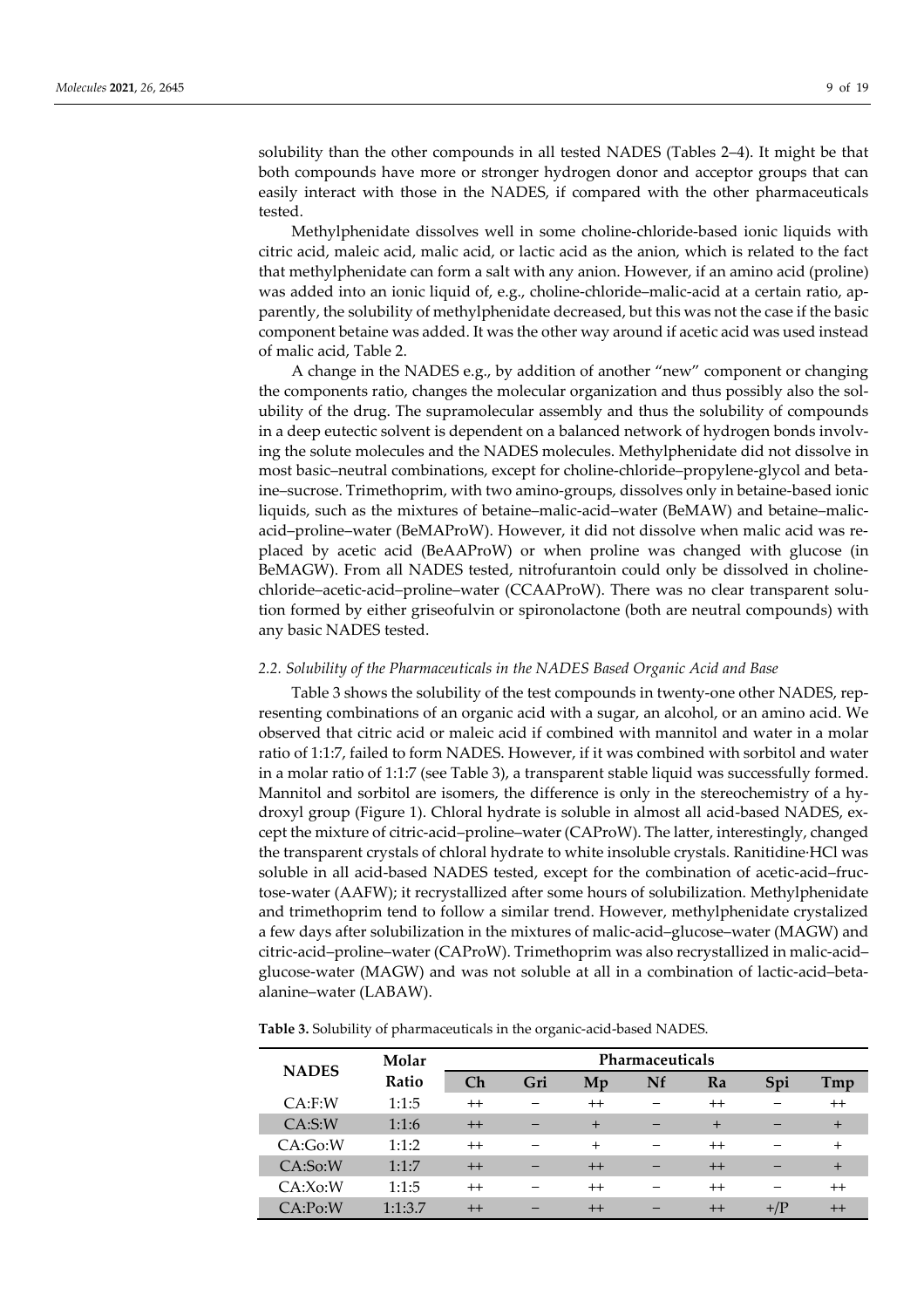solubility than the other compounds in all tested NADES (Tables 2–4). It might be that both compounds have more or stronger hydrogen donor and acceptor groups that can easily interact with those in the NADES, if compared with the other pharmaceuticals tested.

Methylphenidate dissolves well in some choline-chloride-based ionic liquids with citric acid, maleic acid, malic acid, or lactic acid as the anion, which is related to the fact that methylphenidate can form a salt with any anion. However, if an amino acid (proline) was added into an ionic liquid of, e.g., choline-chloride–malic-acid at a certain ratio, apparently, the solubility of methylphenidate decreased, but this was not the case if the basic component betaine was added. It was the other way around if acetic acid was used instead of malic acid, Table 2.

A change in the NADES e.g., by addition of another "new" component or changing the components ratio, changes the molecular organization and thus possibly also the solubility of the drug. The supramolecular assembly and thus the solubility of compounds in a deep eutectic solvent is dependent on a balanced network of hydrogen bonds involving the solute molecules and the NADES molecules. Methylphenidate did not dissolve in most basic–neutral combinations, except for choline-chloride–propylene-glycol and betaine–sucrose. Trimethoprim, with two amino-groups, dissolves only in betaine-based ionic liquids, such as the mixtures of betaine–malic-acid–water (BeMAW) and betaine–malicacid–proline–water (BeMAProW). However, it did not dissolve when malic acid was replaced by acetic acid (BeAAProW) or when proline was changed with glucose (in BeMAGW). From all NADES tested, nitrofurantoin could only be dissolved in cholinechloride–acetic-acid–proline–water (CCAAProW). There was no clear transparent solution formed by either griseofulvin or spironolactone (both are neutral compounds) with any basic NADES tested.

# *2.2. Solubility of the Pharmaceuticals in the NADES Based Organic Acid and Base*

Table 3 shows the solubility of the test compounds in twenty-one other NADES, representing combinations of an organic acid with a sugar, an alcohol, or an amino acid. We observed that citric acid or maleic acid if combined with mannitol and water in a molar ratio of 1:1:7, failed to form NADES. However, if it was combined with sorbitol and water in a molar ratio of 1:1:7 (see Table 3), a transparent stable liquid was successfully formed. Mannitol and sorbitol are isomers, the difference is only in the stereochemistry of a hydroxyl group (Figure 1). Chloral hydrate is soluble in almost all acid-based NADES, except the mixture of citric-acid–proline–water (CAProW). The latter, interestingly, changed the transparent crystals of chloral hydrate to white insoluble crystals. Ranitidine·HCl was soluble in all acid-based NADES tested, except for the combination of acetic-acid–fructose-water (AAFW); it recrystallized after some hours of solubilization. Methylphenidate and trimethoprim tend to follow a similar trend. However, methylphenidate crystalized a few days after solubilization in the mixtures of malic-acid–glucose–water (MAGW) and citric-acid–proline–water (CAProW). Trimethoprim was also recrystallized in malic-acid– glucose-water (MAGW) and was not soluble at all in a combination of lactic-acid–betaalanine–water (LABAW).

| <b>NADES</b> | Molar   | Pharmaceuticals |     |                        |    |         |               |         |  |  |  |  |
|--------------|---------|-----------------|-----|------------------------|----|---------|---------------|---------|--|--|--|--|
|              | Ratio   | Ch              | Gri | $\mathbf{M}\mathbf{p}$ | Nf | Ra      | Spi           | Tmp     |  |  |  |  |
| $CA:$ F:W    | 1:1:5   | $^{++}$         |     | $^{++}$                |    | $^{++}$ |               | $^{++}$ |  |  |  |  |
| CA: S: W     | 1:1:6   | $++$            |     | $+$                    |    | $+$     |               | $+$     |  |  |  |  |
| CA:Go:W      | 1:1:2   | $^{++}$         |     | $^{+}$                 |    | $^{++}$ |               | $^{+}$  |  |  |  |  |
| CA:So:W      | 1:1:7   | $^{++}$         |     | $++$                   |    | $++$    |               | $+$     |  |  |  |  |
| CA:Xo:W      | 1:1:5   | $^{++}$         |     | $^{++}$                |    | $^{++}$ |               | $^{++}$ |  |  |  |  |
| CA:Po:W      | 1:1:3.7 | $++$            |     | $^{++}$                |    | $^{++}$ | $+$ / $\rm P$ |         |  |  |  |  |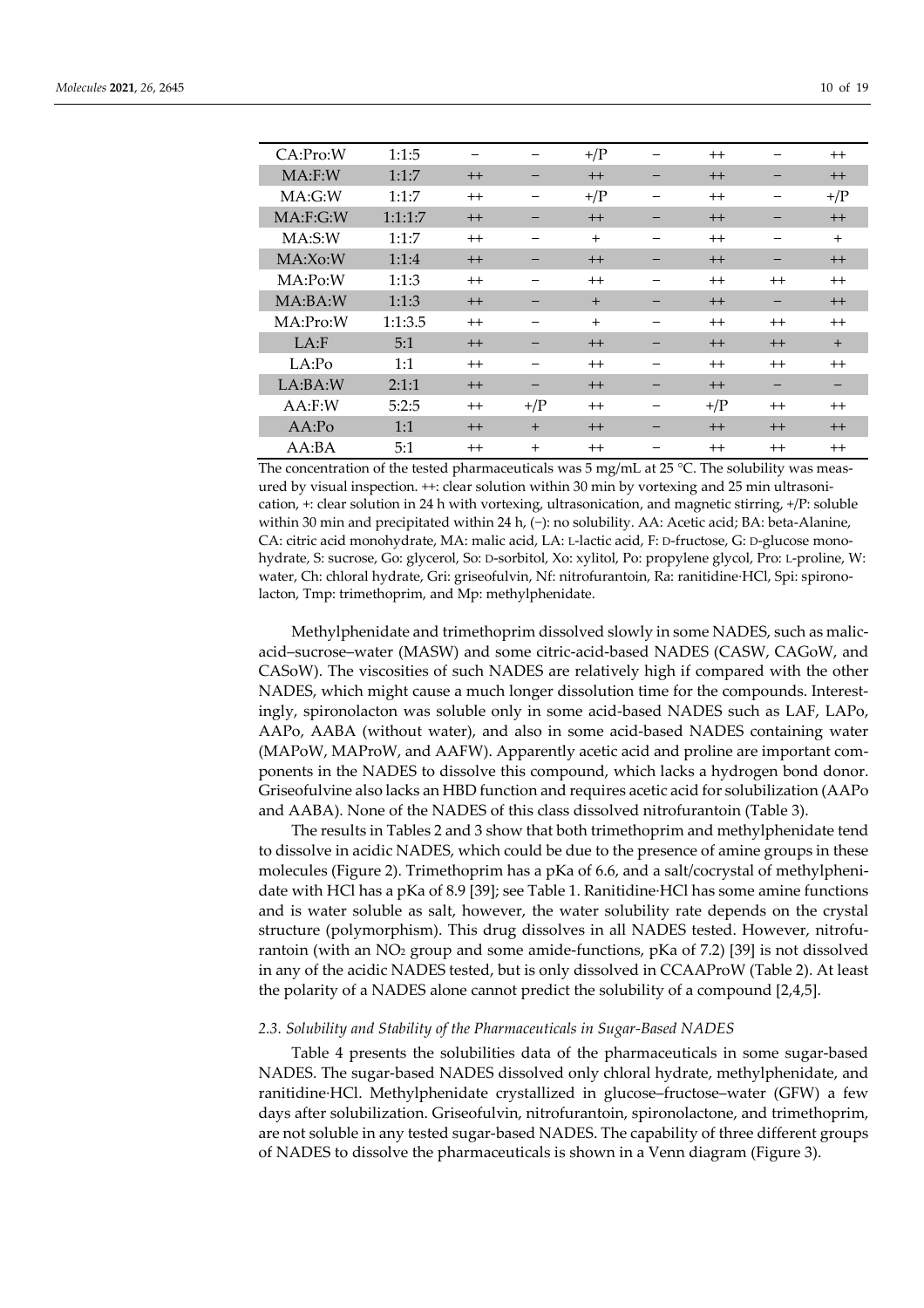| CA:Pro:W    | 1:1:5   | -       |                | $+/\mathrm{P}$ | $^{++}$        |         | $^{++}$        |
|-------------|---------|---------|----------------|----------------|----------------|---------|----------------|
| $MA:$ F:W   | 1:1:7   | $^{++}$ |                | $++$           | $^{++}$        |         | $^{++}$        |
| MA:G:W      | 1:1:7   | $^{++}$ |                | $+/\mathrm{P}$ | $^{++}$        |         | $+$ / $\Gamma$ |
| MA: F: G: W | 1:1:1:7 | $^{++}$ |                | $++$           | $^{++}$        |         | $++$           |
| MA: S: W    | 1:1:7   | $^{++}$ |                | $^{+}$         | $^{++}$        |         | $+$            |
| MA:Xo:W     | 1:1:4   | $++$    |                | $++$           | $^{++}$        |         | $++$           |
| MA:Po:W     | 1:1:3   | $^{++}$ |                | $^{++}$        | $^{++}$        | $^{++}$ | $^{++}$        |
| MA:BA:W     | 1:1:3   | $++$    |                | $+$            | $^{++}$        |         | $++$           |
| MA:Pro:W    | 1:1:3.5 | $^{++}$ |                | $^{+}$         | $^{++}$        | $^{++}$ | $^{++}$        |
| $LA:$ F     | 5:1     | $++$    |                | $++$           | $^{++}$        | $^{++}$ | $+$            |
| LA:Po       | 1:1     | $^{++}$ |                | $^{++}$        | $^{++}$        | $^{++}$ | $^{++}$        |
| LA:BA:W     | 2:1:1   | $++$    |                | $++$           | $^{++}$        | -       |                |
| $AA:$ F:W   | 5:2:5   | $^{++}$ | $+$ / $\Gamma$ | $^{++}$        | $+$ / $\Gamma$ | $^{++}$ | $^{++}$        |
| AA:Po       | 1:1     | $++$    | $+$            | $++$           | $^{++}$        | $^{++}$ | $++$           |
| AA:BA       | 5:1     | $^{++}$ | $+$            | $^{++}$        | $^{++}$        | $^{++}$ | $^{++}$        |

The concentration of the tested pharmaceuticals was 5 mg/mL at 25 °C. The solubility was measured by visual inspection. ++: clear solution within 30 min by vortexing and 25 min ultrasonication, +: clear solution in 24 h with vortexing, ultrasonication, and magnetic stirring, +/P: soluble within 30 min and precipitated within 24 h, (−): no solubility. AA: Acetic acid; BA: beta-Alanine, CA: citric acid monohydrate, MA: malic acid, LA: L-lactic acid, F: D-fructose, G: D-glucose monohydrate, S: sucrose, Go: glycerol, So: D-sorbitol, Xo: xylitol, Po: propylene glycol, Pro: L-proline, W: water, Ch: chloral hydrate, Gri: griseofulvin, Nf: nitrofurantoin, Ra: ranitidine·HCl, Spi: spironolacton, Tmp: trimethoprim, and Mp: methylphenidate.

Methylphenidate and trimethoprim dissolved slowly in some NADES, such as malicacid–sucrose–water (MASW) and some citric-acid-based NADES (CASW, CAGoW, and CASoW). The viscosities of such NADES are relatively high if compared with the other NADES, which might cause a much longer dissolution time for the compounds. Interestingly, spironolacton was soluble only in some acid-based NADES such as LAF, LAPo, AAPo, AABA (without water), and also in some acid-based NADES containing water (MAPoW, MAProW, and AAFW). Apparently acetic acid and proline are important components in the NADES to dissolve this compound, which lacks a hydrogen bond donor. Griseofulvine also lacks an HBD function and requires acetic acid for solubilization (AAPo and AABA). None of the NADES of this class dissolved nitrofurantoin (Table 3).

The results in Tables 2 and 3 show that both trimethoprim and methylphenidate tend to dissolve in acidic NADES, which could be due to the presence of amine groups in these molecules (Figure 2). Trimethoprim has a pKa of 6.6, and a salt/cocrystal of methylphenidate with HCl has a pKa of 8.9 [39]; see Table 1. Ranitidine·HCl has some amine functions and is water soluble as salt, however, the water solubility rate depends on the crystal structure (polymorphism). This drug dissolves in all NADES tested. However, nitrofurantoin (with an  $NO<sub>2</sub>$  group and some amide-functions, pKa of 7.2) [39] is not dissolved in any of the acidic NADES tested, but is only dissolved in CCAAProW (Table 2). At least the polarity of a NADES alone cannot predict the solubility of a compound [2,4,5].

#### *2.3. Solubility and Stability of the Pharmaceuticals in Sugar-Based NADES*

Table 4 presents the solubilities data of the pharmaceuticals in some sugar-based NADES. The sugar-based NADES dissolved only chloral hydrate, methylphenidate, and ranitidine·HCl. Methylphenidate crystallized in glucose–fructose–water (GFW) a few days after solubilization. Griseofulvin, nitrofurantoin, spironolactone, and trimethoprim, are not soluble in any tested sugar-based NADES. The capability of three different groups of NADES to dissolve the pharmaceuticals is shown in a Venn diagram (Figure 3).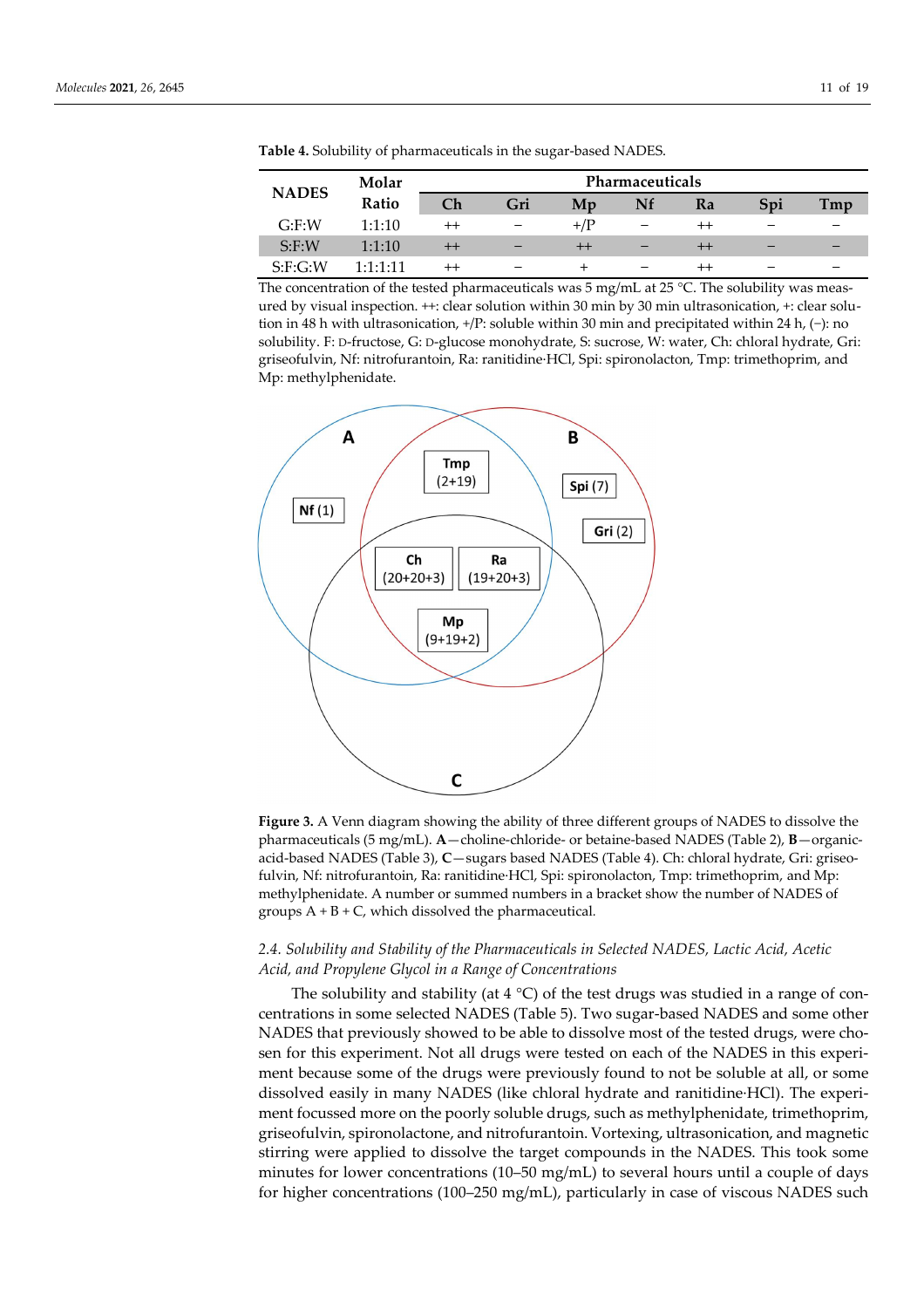| <b>NADES</b> | Molar            | Pharmaceuticals  |     |                 |    |                  |     |     |  |  |  |  |
|--------------|------------------|------------------|-----|-----------------|----|------------------|-----|-----|--|--|--|--|
|              | Ratio            | Ch               | Gri | Mp              | Nf | Ra               | Spi | Tmp |  |  |  |  |
| $G:$ F:W     | 1:1:10           | $^{++}$          |     | $+$ / $\rm P$   |    | $^{++}$          |     |     |  |  |  |  |
| $S:$ F:W     | 1:1:10           | $^{\mathrm{++}}$ | –   | $^{\mathrm{+}}$ |    | $^{\rm ++}$      |     |     |  |  |  |  |
| S: F: G: W   | $1 - 1 - 1 - 11$ |                  |     |                 |    | $^{\mathrm{++}}$ |     |     |  |  |  |  |

**Table 4.** Solubility of pharmaceuticals in the sugar-based NADES.

The concentration of the tested pharmaceuticals was  $5 \text{ mg/mL}$  at  $25 \text{ °C}$ . The solubility was measured by visual inspection. ++: clear solution within 30 min by 30 min ultrasonication, +: clear solution in 48 h with ultrasonication, +/P: soluble within 30 min and precipitated within 24 h, (−): no solubility. F: D-fructose, G: D-glucose monohydrate, S: sucrose, W: water, Ch: chloral hydrate, Gri: griseofulvin, Nf: nitrofurantoin, Ra: ranitidine·HCl, Spi: spironolacton, Tmp: trimethoprim, and Mp: methylphenidate.



**Figure 3.** A Venn diagram showing the ability of three different groups of NADES to dissolve the pharmaceuticals (5 mg/mL). **A**—choline-chloride- or betaine-based NADES (Table 2), **B**—organicacid-based NADES (Table 3), **C**—sugars based NADES (Table 4). Ch: chloral hydrate, Gri: griseofulvin, Nf: nitrofurantoin, Ra: ranitidine·HCl, Spi: spironolacton, Tmp: trimethoprim, and Mp: methylphenidate. A number or summed numbers in a bracket show the number of NADES of groups A + B + C, which dissolved the pharmaceutical*.*

# *2.4. Solubility and Stability of the Pharmaceuticals in Selected NADES, Lactic Acid, Acetic Acid, and Propylene Glycol in a Range of Concentrations*

The solubility and stability (at  $4^{\circ}$ C) of the test drugs was studied in a range of concentrations in some selected NADES (Table 5). Two sugar-based NADES and some other NADES that previously showed to be able to dissolve most of the tested drugs, were chosen for this experiment. Not all drugs were tested on each of the NADES in this experiment because some of the drugs were previously found to not be soluble at all, or some dissolved easily in many NADES (like chloral hydrate and ranitidine·HCl). The experiment focussed more on the poorly soluble drugs, such as methylphenidate, trimethoprim, griseofulvin, spironolactone, and nitrofurantoin. Vortexing, ultrasonication, and magnetic stirring were applied to dissolve the target compounds in the NADES. This took some minutes for lower concentrations (10–50 mg/mL) to several hours until a couple of days for higher concentrations (100–250 mg/mL), particularly in case of viscous NADES such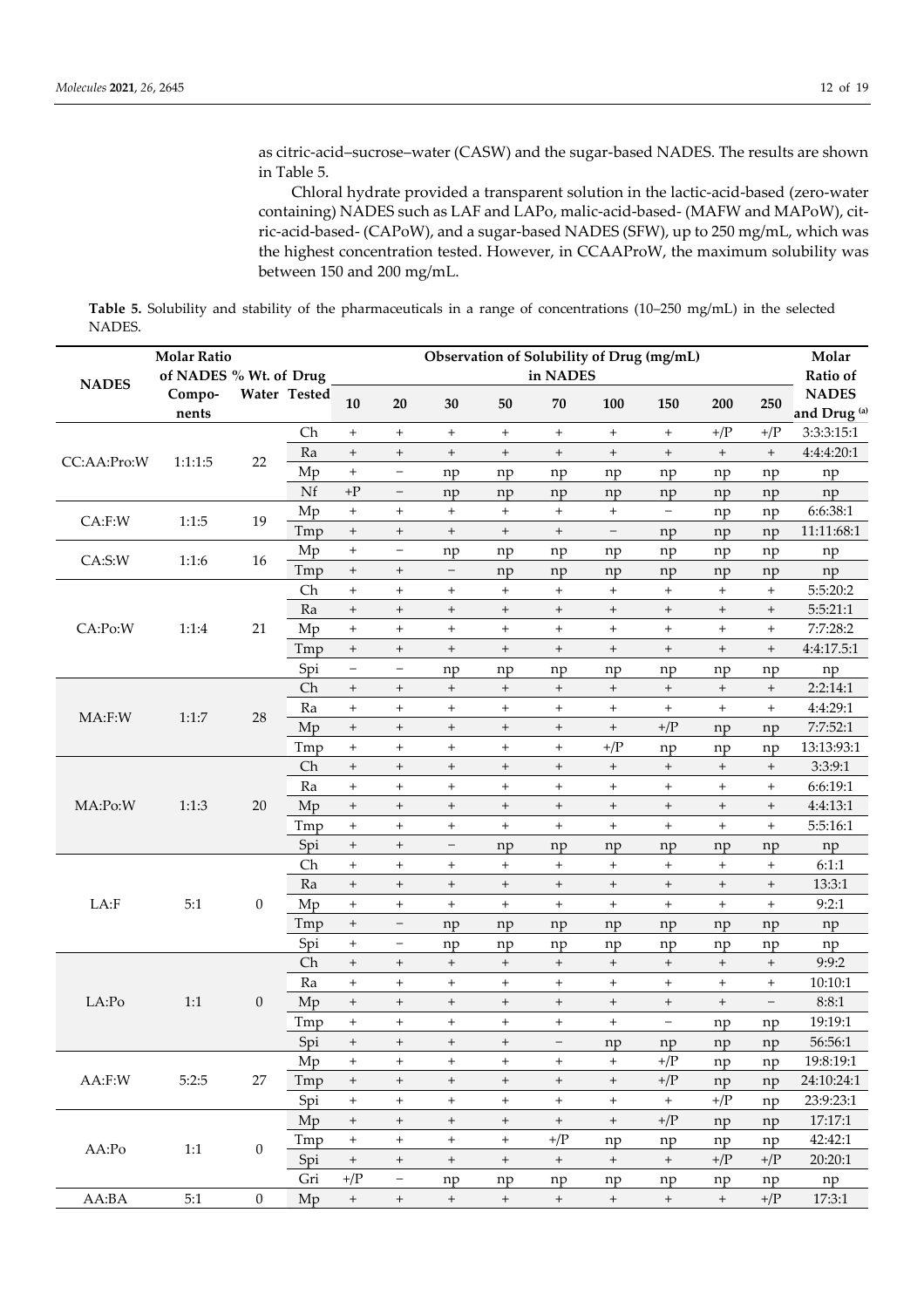as citric-acid–sucrose–water (CASW) and the sugar-based NADES. The results are shown in Table 5.

Chloral hydrate provided a transparent solution in the lactic-acid-based (zero-water containing) NADES such as LAF and LAPo, malic-acid-based- (MAFW and MAPoW), citric-acid-based- (CAPoW), and a sugar-based NADES (SFW), up to 250 mg/mL, which was the highest concentration tested. However, in CCAAProW, the maximum solubility was between 150 and 200 mg/mL.

**Table 5.** Solubility and stability of the pharmaceuticals in a range of concentrations (10–250 mg/mL) in the selected NADES.

| <b>NADES</b> | <b>Molar Ratio</b><br>of NADES % Wt. of Drug |                           |              |                                  |                          |                                  |                                  | Observation of Solubility of Drug (mg/mL)<br>in NADES |                                  |                                  |                                  |                                  | Molar<br>Ratio of                       |
|--------------|----------------------------------------------|---------------------------|--------------|----------------------------------|--------------------------|----------------------------------|----------------------------------|-------------------------------------------------------|----------------------------------|----------------------------------|----------------------------------|----------------------------------|-----------------------------------------|
|              | Compo-<br>nents                              |                           | Water Tested | 10                               | 20                       | 30                               | 50                               | 70                                                    | 100                              | 150                              | 200                              | 250                              | <b>NADES</b><br>and Drug <sup>(a)</sup> |
|              |                                              |                           | Ch           | $\qquad \qquad +$                | $\ddot{}$                | $\ddot{}$                        | $^{+}$                           | $\ddot{}$                                             | $+$                              | $\begin{array}{c} + \end{array}$ | $+/\mathrm{P}$                   | $+/\mathrm{P}$                   | 3:3:3:15:1                              |
|              |                                              |                           | Ra           | $\! + \!$                        | $^{+}$                   | $\qquad \qquad +$                | $\qquad \qquad +$                | $^{+}$                                                | $\qquad \qquad +$                | $\qquad \qquad +$                | $\boldsymbol{+}$                 | $\qquad \qquad +$                | 4:4:4:20:1                              |
| CC:AA:Pro:W  | 1:1:1:5                                      | 22                        | Mp           | $^{+}$                           | $\qquad \qquad -$        | np                               | np                               | np                                                    | np                               | np                               | np                               | np                               | np                                      |
|              |                                              |                           | Nf           | $\rm +P$                         | $\overline{\phantom{a}}$ | np                               | np                               | np                                                    | np                               | np                               | np                               | np                               | np                                      |
| $CA:$ F:W    | 1:1:5                                        | 19                        | Mp           | $\qquad \qquad +$                | $\qquad \qquad +$        | $\begin{array}{c} + \end{array}$ | $\boldsymbol{+}$                 | $\qquad \qquad +$                                     | $+$                              | $\qquad \qquad -$                | np                               | np                               | 6:6:38:1                                |
|              |                                              |                           | Tmp          | $\begin{array}{c} + \end{array}$ | $\qquad \qquad +$        | $\qquad \qquad +$                | $^+$                             | $\qquad \qquad +$                                     | $\overline{\phantom{a}}$         | np                               | np                               | np                               | 11:11:68:1                              |
| CA: S: W     | 1:1:6                                        | 16                        | Mp           | $^{+}$                           | $\qquad \qquad -$        | np                               | np                               | np                                                    | np                               | np                               | np                               | np                               | np                                      |
|              |                                              |                           | Tmp          | $\begin{array}{c} + \end{array}$ | $\qquad \qquad +$        | $\overline{\phantom{a}}$         | np                               | np                                                    | np                               | np                               | np                               | np                               | np                                      |
|              |                                              |                           | Ch           | $\ddot{}$                        | $+$                      | $\boldsymbol{+}$                 | $\begin{array}{c} + \end{array}$ | $\ddot{}$                                             | $+$                              | $\begin{array}{c} + \end{array}$ | $\begin{array}{c} + \end{array}$ | $+$                              | 5:5:20:2                                |
|              |                                              |                           | Ra           | $\! + \!$                        | $\qquad \qquad +$        | $\qquad \qquad +$                | $\qquad \qquad +$                | $\begin{array}{c} + \end{array}$                      | $\begin{array}{c} + \end{array}$ | $\qquad \qquad +$                | $\qquad \qquad +$                | $\qquad \qquad +$                | 5:5:21:1                                |
| CA:Po:W      | 1:1:4                                        | 21                        | Mp           | $\ddot{}$                        | $^{+}$                   | $\qquad \qquad +$                | $\begin{array}{c} + \end{array}$ | $\qquad \qquad +$                                     | $+$                              | $\begin{array}{c} + \end{array}$ | $+$                              | $\ddot{}$                        | 7:7:28:2                                |
|              |                                              |                           | Tmp          | $\begin{array}{c} + \end{array}$ | $\boldsymbol{+}$         | $\qquad \qquad +$                | $\qquad \qquad +$                | $^{+}$                                                | $\qquad \qquad +$                | $\qquad \qquad +$                | $\qquad \qquad +$                | $+$                              | 4:4:17.5:1                              |
|              |                                              |                           | Spi          | $\overline{\phantom{0}}$         | $\qquad \qquad -$        | np                               | np                               | np                                                    | np                               | np                               | np                               | np                               | np                                      |
| $MA:$ $F:W$  |                                              |                           | Ch           | $\begin{array}{c} + \end{array}$ | $\qquad \qquad +$        | $\qquad \qquad +$                | $\qquad \qquad +$                | $\begin{array}{c} + \end{array}$                      | $\boldsymbol{+}$                 | $^{\mathrm{+}}$                  | $\boldsymbol{+}$                 | $\begin{array}{c} + \end{array}$ | 2:2:14:1                                |
|              | 1:1:7                                        | 28                        | Ra           | $\begin{array}{c} + \end{array}$ | $\ddot{}$                | $^{+}$                           | $\begin{array}{c} + \end{array}$ | $^{+}$                                                | $\qquad \qquad +$                | $\begin{array}{c} + \end{array}$ | $\begin{array}{c} + \end{array}$ | $\begin{array}{c} + \end{array}$ | 4:4:29:1                                |
|              |                                              |                           | Mp           | $\! + \!$                        | $^{+}$                   | $\begin{array}{c} + \end{array}$ | $\begin{array}{c} + \end{array}$ | $^{+}$                                                | $\qquad \qquad +$                | $+/\mathrm{P}$                   | np                               | np                               | 7:7:52:1                                |
|              |                                              |                           | Tmp          | $\begin{array}{c} + \end{array}$ | $\ddot{}$                | $\qquad \qquad +$                | $\begin{array}{c} + \end{array}$ | $^{+}$                                                | $+/\mathrm{P}$                   | np                               | np                               | np                               | 13:13:93:1                              |
|              |                                              |                           | Ch           | $\! + \!$                        | $\boldsymbol{+}$         | $\qquad \qquad +$                | $\qquad \qquad +$                | $\qquad \qquad +$                                     | $\boldsymbol{+}$                 | $^+$                             | $\begin{array}{c} + \end{array}$ | $\begin{array}{c} + \end{array}$ | 3:3:9:1                                 |
|              |                                              |                           | Ra           | $\ddot{}$                        | $\ddot{}$                | $\boldsymbol{+}$                 | $\begin{array}{c} + \end{array}$ | $\begin{array}{c} + \end{array}$                      | $\qquad \qquad +$                | $\begin{array}{c} + \end{array}$ | $\begin{array}{c} + \end{array}$ | $\begin{array}{c} + \end{array}$ | 6:6:19:1                                |
| MA:Po:W      | 1:1:3                                        | 20                        | Mp           | $\! + \!$                        | $\qquad \qquad +$        | $\qquad \qquad +$                | $\qquad \qquad +$                | $\qquad \qquad +$                                     | $\boldsymbol{+}$                 | $^+$                             | $\boldsymbol{+}$                 | $\begin{array}{c} + \end{array}$ | 4:4:13:1                                |
|              |                                              |                           | Tmp          | $^{+}$                           | $+$                      | $\qquad \qquad +$                | $\ddot{}$                        | $\qquad \qquad +$                                     | $^{+}$                           | $^{+}$                           | $^{+}$                           | $^{+}$                           | 5:5:16:1                                |
|              |                                              |                           | Spi          | $\! + \!$                        | $\qquad \qquad +$        | $\qquad \qquad -$                | np                               | np                                                    | np                               | np                               | np                               | np                               | np                                      |
|              |                                              |                           | Ch           | $^{+}$                           | $\boldsymbol{+}$         | $\boldsymbol{+}$                 | $\boldsymbol{+}$                 | $\qquad \qquad +$                                     | $\boldsymbol{+}$                 | $\begin{array}{c} + \end{array}$ | $\qquad \qquad +$                | $\begin{array}{c} + \end{array}$ | 6:1:1                                   |
|              |                                              |                           | Ra           | $\qquad \qquad +$                | $\qquad \qquad +$        | $\begin{array}{c} + \end{array}$ | $^+$                             | $^{+}$                                                | $\boldsymbol{+}$                 | $^{+}$                           | $\qquad \qquad +$                | $\begin{array}{c} + \end{array}$ | 13:3:1                                  |
| LA:F         | 5:1                                          | $\boldsymbol{0}$          | Mp           | $^{+}$                           | $\qquad \qquad +$        | $\qquad \qquad +$                | $\begin{array}{c} + \end{array}$ | $\qquad \qquad +$                                     | $+$                              | $\begin{array}{c} + \end{array}$ | $\qquad \qquad +$                | $\qquad \qquad +$                | 9:2:1                                   |
|              |                                              |                           | Tmp          | $\begin{array}{c} + \end{array}$ | $\overline{\phantom{a}}$ | np                               | np                               | np                                                    | np                               | np                               | np                               | np                               | np                                      |
|              |                                              |                           | Spi          | $^{+}$                           | $\overline{\phantom{m}}$ | np                               | np                               | np                                                    | np                               | np                               | np                               | np                               | np                                      |
|              |                                              |                           | Ch           | $\! + \!$                        | $\boldsymbol{+}$         | $\qquad \qquad +$                | $\begin{array}{c} + \end{array}$ | $^{+}$                                                | $\begin{array}{c} + \end{array}$ | $\qquad \qquad +$                | $\qquad \qquad +$                | $+$                              | 9:9:2                                   |
|              |                                              |                           | Ra           | $^{+}$                           | $\qquad \qquad +$        | $\ddot{}$                        | $\begin{array}{c} + \end{array}$ | $\begin{array}{c} + \end{array}$                      | $\boldsymbol{+}$                 | $\begin{array}{c} + \end{array}$ | $\begin{array}{c} + \end{array}$ | $^{+}$                           | 10:10:1                                 |
| LA:Po        | 1:1                                          | $\mathbf{0}$              | Mp           | $\! + \!$                        | $^{+}$                   | $\qquad \qquad +$                | $\qquad \qquad +$                | $\qquad \qquad +$                                     | $\qquad \qquad +$                | $\qquad \qquad +$                | $\qquad \qquad +$                | $\qquad \qquad -$                | 8:8:1                                   |
|              |                                              |                           | Tmp          | $^{+}$                           | $\qquad \qquad +$        | $\ddot{}$                        | $\begin{array}{c} + \end{array}$ | $^{+}$                                                | $\qquad \qquad +$                | $\qquad \qquad -$                | np                               | np                               | 19:19:1                                 |
|              |                                              |                           | Spi          | $^{+}$                           | $^{+}$                   | $^{+}$                           | $^{+}$                           | $\qquad \qquad -$                                     | np                               | np                               | np                               | np                               | 56:56:1                                 |
|              |                                              |                           | Mp           | $\begin{array}{c} + \end{array}$ | $^{+}$                   | $^{+}$                           | $\qquad \qquad +$                | $\begin{array}{c} + \end{array}$                      | $^{+}$                           | $+/\! {\rm P}$                   | np                               | np                               | 19:8:19:1                               |
| AA:F:W       | 5:2:5                                        | 27                        | Tmp          | $\qquad \qquad +$                | $^{\mathrm{+}}$          | $\begin{array}{c} + \end{array}$ | $\qquad \qquad +$                | $\qquad \qquad +$                                     | $\qquad \qquad +$                | $+/\mathrm{P}$                   | np                               | np                               | 24:10:24:1                              |
|              |                                              |                           | Spi          | $^{+}$                           | $\qquad \qquad +$        | $^{+}$                           | $\qquad \qquad +$                | $^{+}$                                                | $^{+}$                           | $+$                              | $+/\mathrm{P}$                   | np                               | 23:9:23:1                               |
|              |                                              |                           | Mp           | $\qquad \qquad +$                | $\qquad \qquad +$        | $\qquad \qquad +$                | $\qquad \qquad +$                | $\boldsymbol{+}$                                      | $\qquad \qquad +$                | $+/\mathrm{P}$                   | np                               | np                               | 17:17:1                                 |
|              |                                              |                           | Tmp          | $+$                              | $\qquad \qquad +$        | $\qquad \qquad +$                | $\boldsymbol{+}$                 | $+/\mathrm{P}$                                        | np                               | np                               | np                               | np                               | 42:42:1                                 |
| AA:Po        |                                              | $\boldsymbol{0}$<br>$1:1$ | Spi          | $\boldsymbol{+}$                 | $\qquad \qquad +$        | $\qquad \qquad +$                | $\qquad \qquad +$                | $^{\mathrm{+}}$                                       | $\boldsymbol{+}$                 | $^{+}$                           | $+/\mathrm{P}$                   | $+/\mathrm{P}$                   | 20:20:1                                 |
|              |                                              |                           | Gri          | $+/\mathrm{P}$                   | $\overline{\phantom{a}}$ | np                               | np                               | np                                                    | np                               | np                               | np                               | np                               | np                                      |
| AA:BA        | 5:1                                          | $\boldsymbol{0}$          | Mp           | $\boldsymbol{+}$                 | $^+$                     | $+$                              | $^+$                             | $\qquad \qquad +$                                     | $\boldsymbol{+}$                 | $\qquad \qquad +$                | $+$                              | $+/\mathrm{P}$                   | 17:3:1                                  |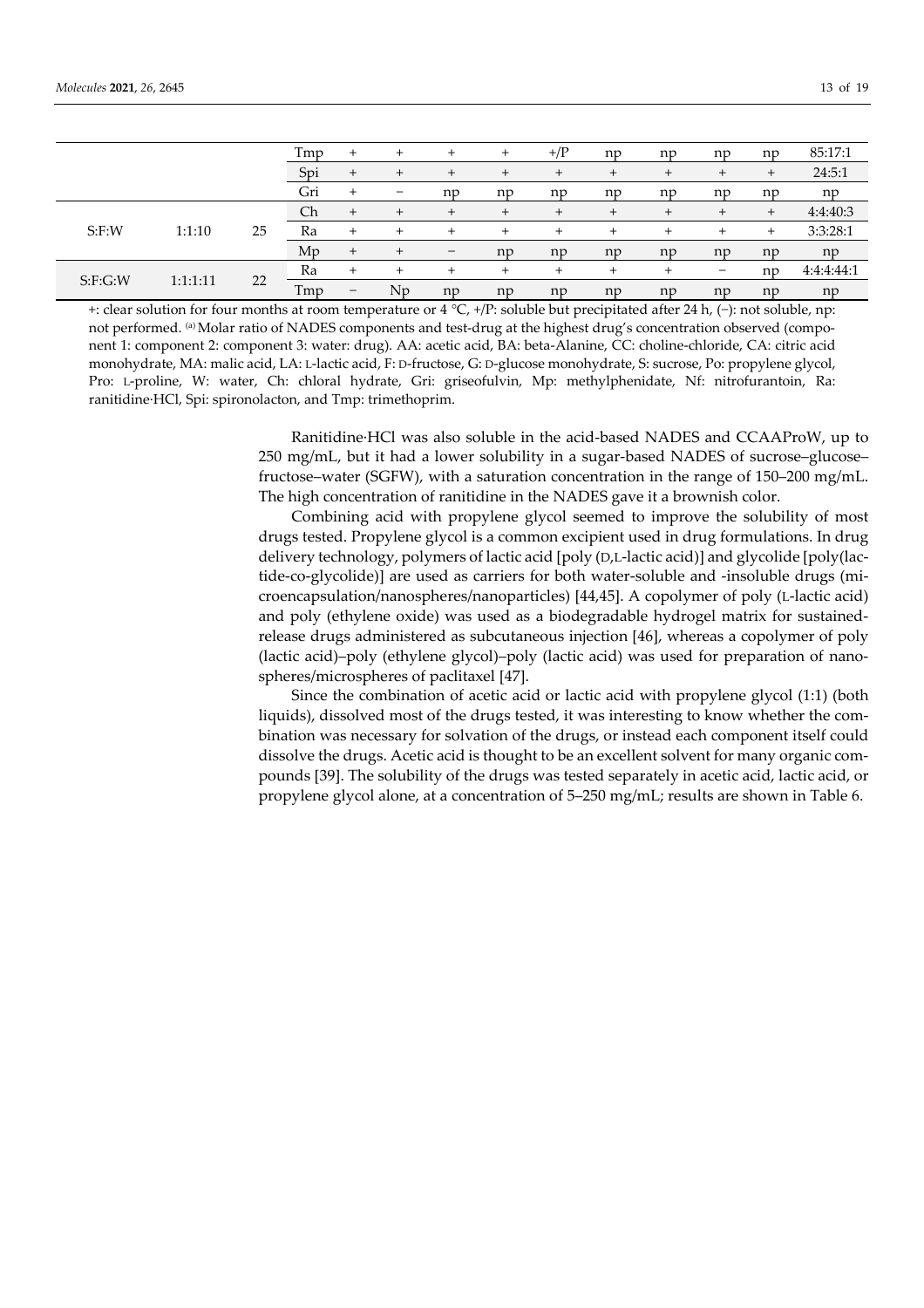|          |          |    | Tmp | ÷                        | $^{+}$                   | $^{+}$         | $\overline{+}$ | $+/\mathrm{P}$ | np     | np     | np     | np        | 85:17:1    |
|----------|----------|----|-----|--------------------------|--------------------------|----------------|----------------|----------------|--------|--------|--------|-----------|------------|
|          |          |    | Spi |                          | $\div$                   | $^{+}$         |                | $\pm$          | $\pm$  |        |        | $\pm$     | 24:5:1     |
|          |          |    | Gri |                          | $\overline{\phantom{m}}$ | np             | np             | np             | np     | np     | np     | np        | np         |
|          |          |    | Ch  | $\pm$                    | $\div$                   | $\overline{+}$ |                | $\pm$          |        | ÷      |        | $\ddot{}$ | 4:4:40:3   |
| $S:$ F:W | 1:1:10   | 25 | Ra  | $^{+}$                   | $^{+}$                   | $^{+}$         | $\overline{+}$ | $^{+}$         | $\div$ | $^{+}$ | $\div$ | $\ddot{}$ | 3:3:28:1   |
|          |          |    | Mp  | $^{+}$                   | $^{+}$                   | -              | np             | np             | np     | np     | np     | np        | np         |
| S:F:G:W  |          | 22 | Ra  | $^{+}$                   | $\pm$                    | $^{+}$         | $\div$         | $\ddot{}$      |        | +      |        | np        | 4:4:4:44:1 |
|          | 1:1:1:11 |    | Tmp | $\overline{\phantom{m}}$ | Np                       | np             | np             | np             | np     | np     | np     | np        | np         |

+: clear solution for four months at room temperature or 4 °C, +/P: soluble but precipitated after 24 h, (−): not soluble, np: not performed. <sup>(a)</sup> Molar ratio of NADES components and test-drug at the highest drug's concentration observed (component 1: component 2: component 3: water: drug). AA: acetic acid, BA: beta-Alanine, CC: choline-chloride, CA: citric acid monohydrate, MA: malic acid, LA: L-lactic acid, F: D-fructose, G: D-glucose monohydrate, S: sucrose, Po: propylene glycol, Pro: L-proline, W: water, Ch: chloral hydrate, Gri: griseofulvin, Mp: methylphenidate, Nf: nitrofurantoin, Ra: ranitidine·HCl, Spi: spironolacton, and Tmp: trimethoprim.

> Ranitidine·HCl was also soluble in the acid-based NADES and CCAAProW, up to 250 mg/mL, but it had a lower solubility in a sugar-based NADES of sucrose–glucose– fructose–water (SGFW), with a saturation concentration in the range of 150–200 mg/mL. The high concentration of ranitidine in the NADES gave it a brownish color.

> Combining acid with propylene glycol seemed to improve the solubility of most drugs tested. Propylene glycol is a common excipient used in drug formulations. In drug delivery technology, polymers of lactic acid [poly (D,L-lactic acid)] and glycolide [poly(lactide-co-glycolide)] are used as carriers for both water-soluble and -insoluble drugs (microencapsulation/nanospheres/nanoparticles) [44,45]. A copolymer of poly (L-lactic acid) and poly (ethylene oxide) was used as a biodegradable hydrogel matrix for sustainedrelease drugs administered as subcutaneous injection [46], whereas a copolymer of poly (lactic acid)–poly (ethylene glycol)–poly (lactic acid) was used for preparation of nanospheres/microspheres of paclitaxel [47].

> Since the combination of acetic acid or lactic acid with propylene glycol (1:1) (both liquids), dissolved most of the drugs tested, it was interesting to know whether the combination was necessary for solvation of the drugs, or instead each component itself could dissolve the drugs. Acetic acid is thought to be an excellent solvent for many organic compounds [39]. The solubility of the drugs was tested separately in acetic acid, lactic acid, or propylene glycol alone, at a concentration of 5–250 mg/mL; results are shown in Table 6.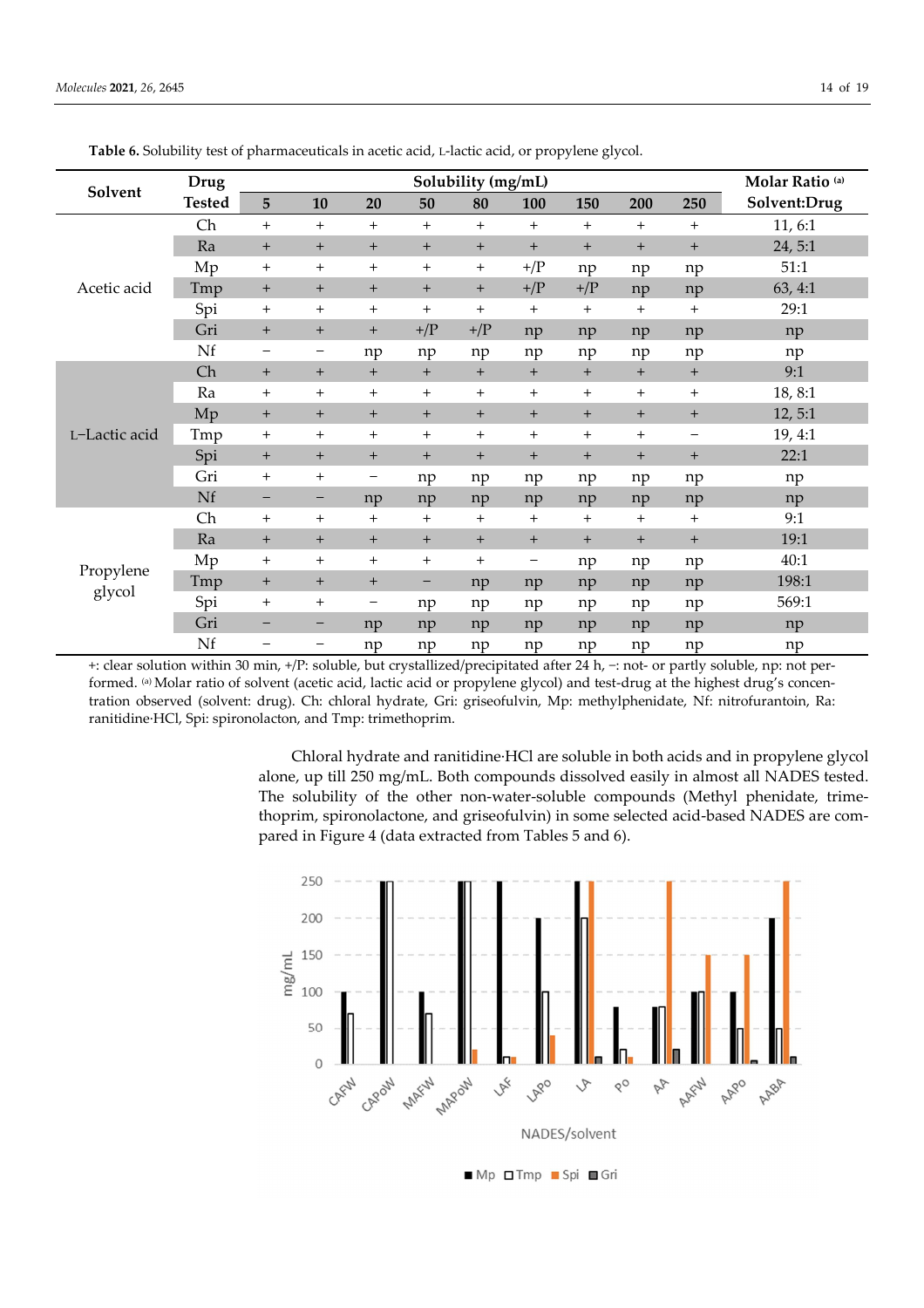|               | Drug          |                                  |                                  |                   |                | Solubility (mg/mL) |                |                |                |                   | Molar Ratio <sup>(a)</sup> |
|---------------|---------------|----------------------------------|----------------------------------|-------------------|----------------|--------------------|----------------|----------------|----------------|-------------------|----------------------------|
| Solvent       | <b>Tested</b> | 5                                | 10                               | 20                | 50             | 80                 | 100            | 150            | 200            | 250               | Solvent:Drug               |
|               | Ch            | $^{+}$                           | $+$                              | $^{+}$            | $\ddot{}$      | $+$                | $+$            | $\ddot{}$      | $^{+}$         | $+$               | 11, 6:1                    |
|               | Ra            | $+$                              | $+$                              | $+$               | $+$            | $+$                | $+$            | $+$            | $+$            | $+$               | 24, 5:1                    |
|               | Mp            | $^{+}$                           | $^{+}$                           | $^{+}$            | $\ddot{}$      | $\ddot{}$          | $+/\mathrm{P}$ | np             | np             | np                | 51:1                       |
| Acetic acid   | Tmp           | $\overline{+}$                   | $^{+}$                           | $+$               | $\pm$          | $+$                | $+/\mathrm{P}$ | $+/\mathrm{P}$ | np             | np                | 63, 4:1                    |
|               | Spi           | $^{+}$                           | $^{+}$                           | $^{+}$            | $\ddot{}$      | $^{+}$             | $+$            | $\ddot{}$      | $^{+}$         | $^{+}$            | 29:1                       |
|               | Gri           | $+$                              | $^{+}$                           | $+$               | $+/\mathrm{P}$ | $+/\mathrm{P}$     | np             | np             | np             | np                | np                         |
|               | Nf            | -                                | $\qquad \qquad -$                | np                | np             | np                 | np             | np             | np             | np                | np                         |
|               | Ch            | $+$                              | $+$                              | $+$               | $+$            | $+$                | $+$            | $\ddot{}$      | $+$            | $+$               | 9:1                        |
|               | Ra            | $^{+}$                           | $^{+}$                           | $\ddot{}$         | $\ddot{}$      | $\ddot{}$          | $+$            | $\ddot{}$      | $^{+}$         | $^{+}$            | 18, 8:1                    |
|               | Mp            | $\begin{array}{c} + \end{array}$ | $\begin{array}{c} + \end{array}$ | $+$               | $\ddot{}$      | $+$                | $+$            | $+$            | $+$            | $+$               | 12, 5:1                    |
| L-Lactic acid | Tmp           | $^{+}$                           | $^{+}$                           | $^{+}$            | $\ddot{}$      | $^{+}$             | $+$            | $^+$           | $^{+}$         | $\qquad \qquad -$ | 19, 4:1                    |
|               | Spi           | $\begin{array}{c} + \end{array}$ | $^{+}$                           | $+$               | $\ddot{}$      | $+$                | $+$            | $+$            | $\overline{+}$ | $+$               | 22:1                       |
|               | Gri           | $\ddot{}$                        | $^{+}$                           | $\qquad \qquad -$ | np             | np                 | np             | np             | np             | np                | np                         |
|               | Nf            | -                                | -                                | np                | np             | np                 | np             | np             | np             | np                | np                         |
|               | Ch            | $\ddot{}$                        | $\ddot{}$                        | $\ddot{}$         | $\ddot{}$      | $\ddot{}$          | $^{+}$         | $\ddot{}$      | $^{+}$         | $^{+}$            | 9:1                        |
|               | Ra            | $+$                              | $+$                              | $+$               | $\ddot{}$      | $+$                | $+$            | $+$            | $+$            | $+$               | 19:1                       |
| Propylene     | Mp            | $^{+}$                           | $^{+}$                           | $\ddot{}$         | $\ddot{}$      | $\ddot{}$          | -              | np             | np             | np                | 40:1                       |
|               | Tmp           | $+$                              | $^{+}$                           | $+$               | -              | np                 | np             | np             | np             | np                | 198:1                      |
| glycol        | Spi           | $\ddot{}$                        | $^{+}$                           | $\qquad \qquad -$ | np             | np                 | np             | np             | np             | np                | 569:1                      |
|               | Gri           | -                                | -                                | np                | np             | np                 | np             | np             | np             | np                | np                         |
|               | Nf            | -                                | -                                | np                | np             | np                 | np             | np             | np             | np                | np                         |

**Table 6.** Solubility test of pharmaceuticals in acetic acid, L-lactic acid, or propylene glycol.

+: clear solution within 30 min, +/P: soluble, but crystallized/precipitated after 24 h, −: not- or partly soluble, np: not performed. (a) Molar ratio of solvent (acetic acid, lactic acid or propylene glycol) and test-drug at the highest drug's concentration observed (solvent: drug). Ch: chloral hydrate, Gri: griseofulvin, Mp: methylphenidate, Nf: nitrofurantoin, Ra: ranitidine·HCl, Spi: spironolacton, and Tmp: trimethoprim.

> Chloral hydrate and ranitidine·HCl are soluble in both acids and in propylene glycol alone, up till 250 mg/mL. Both compounds dissolved easily in almost all NADES tested. The solubility of the other non-water-soluble compounds (Methyl phenidate, trimethoprim, spironolactone, and griseofulvin) in some selected acid-based NADES are compared in Figure 4 (data extracted from Tables 5 and 6).



■ Mp □ Tmp ■ Spi ■ Gri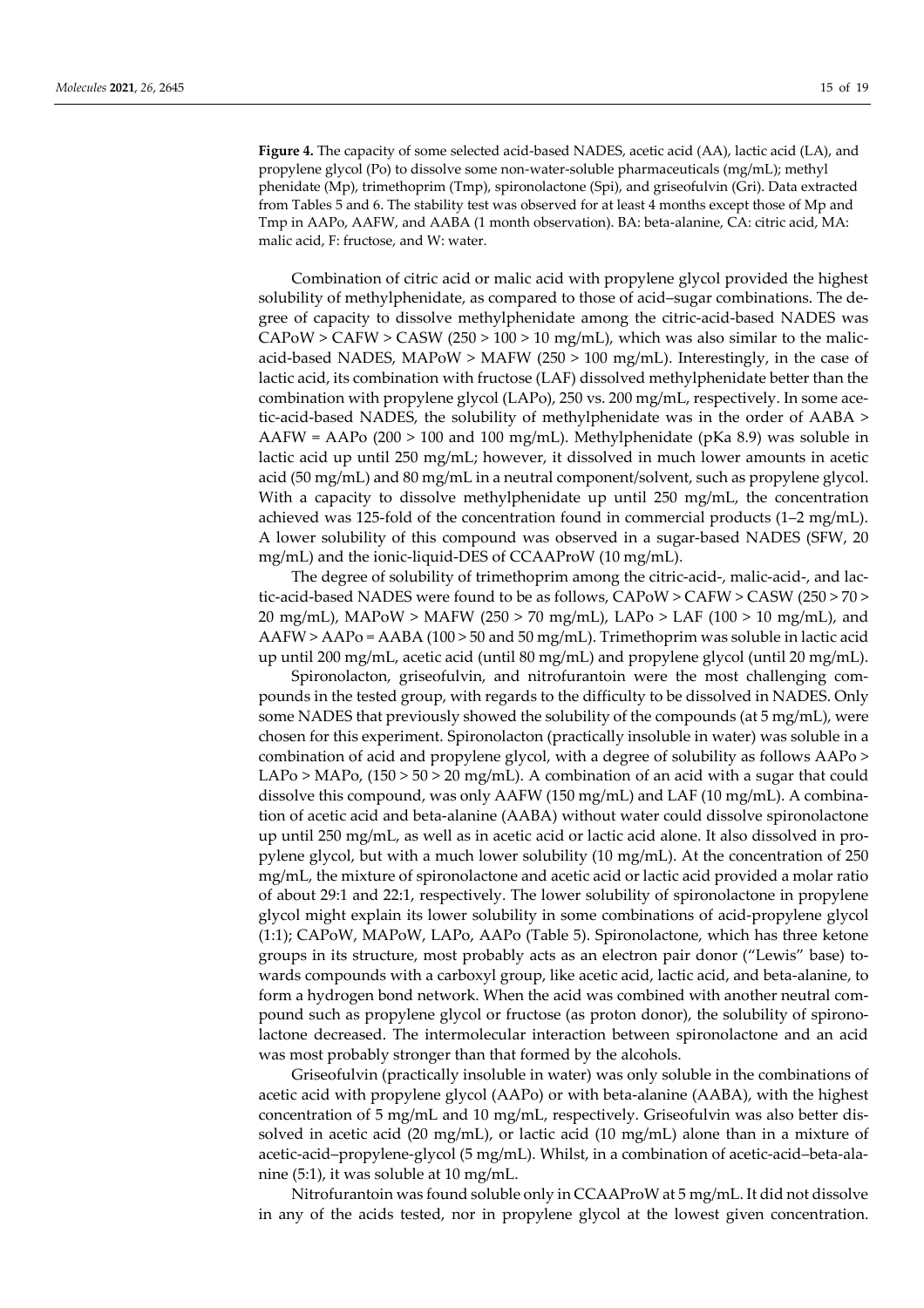**Figure 4.** The capacity of some selected acid-based NADES, acetic acid (AA), lactic acid (LA), and propylene glycol (Po) to dissolve some non-water-soluble pharmaceuticals (mg/mL); methyl phenidate (Mp), trimethoprim (Tmp), spironolactone (Spi), and griseofulvin (Gri). Data extracted from Tables 5 and 6. The stability test was observed for at least 4 months except those of Mp and Tmp in AAPo, AAFW, and AABA (1 month observation). BA: beta-alanine, CA: citric acid, MA: malic acid, F: fructose, and W: water.

Combination of citric acid or malic acid with propylene glycol provided the highest solubility of methylphenidate, as compared to those of acid–sugar combinations. The degree of capacity to dissolve methylphenidate among the citric-acid-based NADES was  $CAPOW > CAPW > CASW (250 > 100 > 10 mg/mL)$ , which was also similar to the malicacid-based NADES, MAPoW > MAFW (250 > 100 mg/mL). Interestingly, in the case of lactic acid, its combination with fructose (LAF) dissolved methylphenidate better than the combination with propylene glycol (LAPo), 250 vs. 200 mg/mL, respectively. In some acetic-acid-based NADES, the solubility of methylphenidate was in the order of AABA > AAFW = AAPo (200 > 100 and 100 mg/mL). Methylphenidate (pKa 8.9) was soluble in lactic acid up until 250 mg/mL; however, it dissolved in much lower amounts in acetic acid (50 mg/mL) and 80 mg/mL in a neutral component/solvent, such as propylene glycol. With a capacity to dissolve methylphenidate up until 250 mg/mL, the concentration achieved was 125-fold of the concentration found in commercial products (1–2 mg/mL). A lower solubility of this compound was observed in a sugar-based NADES (SFW, 20 mg/mL) and the ionic-liquid-DES of CCAAProW (10 mg/mL).

The degree of solubility of trimethoprim among the citric-acid-, malic-acid-, and lactic-acid-based NADES were found to be as follows, CAPoW > CAFW > CASW (250 > 70 > 20 mg/mL), MAPoW > MAFW (250 > 70 mg/mL), LAPo > LAF (100 > 10 mg/mL), and AAFW > AAPo = AABA (100 > 50 and 50 mg/mL). Trimethoprim was soluble in lactic acid up until 200 mg/mL, acetic acid (until 80 mg/mL) and propylene glycol (until 20 mg/mL).

Spironolacton, griseofulvin, and nitrofurantoin were the most challenging compounds in the tested group, with regards to the difficulty to be dissolved in NADES. Only some NADES that previously showed the solubility of the compounds (at 5 mg/mL), were chosen for this experiment. Spironolacton (practically insoluble in water) was soluble in a combination of acid and propylene glycol, with a degree of solubility as follows AAPo > LAPo > MAPo,  $(150 > 50 > 20$  mg/mL). A combination of an acid with a sugar that could dissolve this compound, was only AAFW (150 mg/mL) and LAF (10 mg/mL). A combination of acetic acid and beta-alanine (AABA) without water could dissolve spironolactone up until 250 mg/mL, as well as in acetic acid or lactic acid alone. It also dissolved in propylene glycol, but with a much lower solubility (10 mg/mL). At the concentration of 250 mg/mL, the mixture of spironolactone and acetic acid or lactic acid provided a molar ratio of about 29:1 and 22:1, respectively. The lower solubility of spironolactone in propylene glycol might explain its lower solubility in some combinations of acid-propylene glycol (1:1); CAPoW, MAPoW, LAPo, AAPo (Table 5). Spironolactone, which has three ketone groups in its structure, most probably acts as an electron pair donor ("Lewis" base) towards compounds with a carboxyl group, like acetic acid, lactic acid, and beta-alanine, to form a hydrogen bond network. When the acid was combined with another neutral compound such as propylene glycol or fructose (as proton donor), the solubility of spironolactone decreased. The intermolecular interaction between spironolactone and an acid was most probably stronger than that formed by the alcohols.

Griseofulvin (practically insoluble in water) was only soluble in the combinations of acetic acid with propylene glycol (AAPo) or with beta-alanine (AABA), with the highest concentration of 5 mg/mL and 10 mg/mL, respectively. Griseofulvin was also better dissolved in acetic acid (20 mg/mL), or lactic acid (10 mg/mL) alone than in a mixture of acetic-acid–propylene-glycol (5 mg/mL). Whilst, in a combination of acetic-acid–beta-alanine (5:1), it was soluble at 10 mg/mL.

Nitrofurantoin was found soluble only in CCAAProW at 5 mg/mL. It did not dissolve in any of the acids tested, nor in propylene glycol at the lowest given concentration.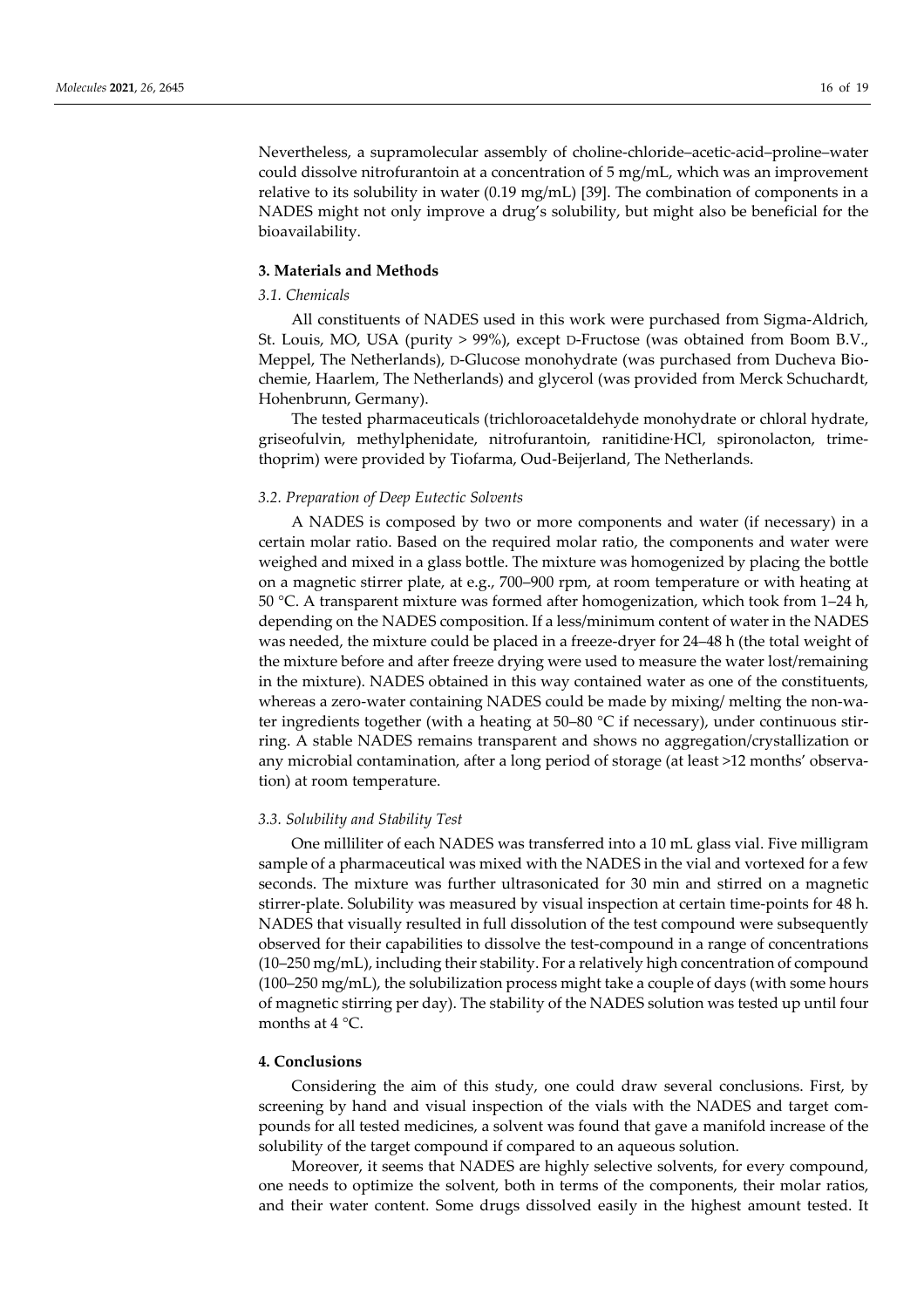Nevertheless, a supramolecular assembly of choline-chloride–acetic-acid–proline–water could dissolve nitrofurantoin at a concentration of 5 mg/mL, which was an improvement relative to its solubility in water (0.19 mg/mL) [39]. The combination of components in a NADES might not only improve a drug's solubility, but might also be beneficial for the bioavailability.

# **3. Materials and Methods**

# *3.1. Chemicals*

All constituents of NADES used in this work were purchased from Sigma-Aldrich, St. Louis, MO, USA (purity > 99%), except D-Fructose (was obtained from Boom B.V., Meppel, The Netherlands), D-Glucose monohydrate (was purchased from Ducheva Biochemie, Haarlem, The Netherlands) and glycerol (was provided from Merck Schuchardt, Hohenbrunn, Germany).

The tested pharmaceuticals (trichloroacetaldehyde monohydrate or chloral hydrate, griseofulvin, methylphenidate, nitrofurantoin, ranitidine·HCl, spironolacton, trimethoprim) were provided by Tiofarma, Oud-Beijerland, The Netherlands.

## *3.2. Preparation of Deep Eutectic Solvents*

A NADES is composed by two or more components and water (if necessary) in a certain molar ratio. Based on the required molar ratio, the components and water were weighed and mixed in a glass bottle. The mixture was homogenized by placing the bottle on a magnetic stirrer plate, at e.g., 700–900 rpm, at room temperature or with heating at 50 °C. A transparent mixture was formed after homogenization, which took from 1–24 h, depending on the NADES composition. If a less/minimum content of water in the NADES was needed, the mixture could be placed in a freeze-dryer for 24–48 h (the total weight of the mixture before and after freeze drying were used to measure the water lost/remaining in the mixture). NADES obtained in this way contained water as one of the constituents, whereas a zero-water containing NADES could be made by mixing/ melting the non-water ingredients together (with a heating at 50–80 °C if necessary), under continuous stirring. A stable NADES remains transparent and shows no aggregation/crystallization or any microbial contamination, after a long period of storage (at least >12 months' observation) at room temperature.

#### *3.3. Solubility and Stability Test*

One milliliter of each NADES was transferred into a 10 mL glass vial. Five milligram sample of a pharmaceutical was mixed with the NADES in the vial and vortexed for a few seconds. The mixture was further ultrasonicated for 30 min and stirred on a magnetic stirrer-plate. Solubility was measured by visual inspection at certain time-points for 48 h. NADES that visually resulted in full dissolution of the test compound were subsequently observed for their capabilities to dissolve the test-compound in a range of concentrations (10–250 mg/mL), including their stability. For a relatively high concentration of compound (100–250 mg/mL), the solubilization process might take a couple of days (with some hours of magnetic stirring per day). The stability of the NADES solution was tested up until four months at  $4^{\circ}$ C.

## **4. Conclusions**

Considering the aim of this study, one could draw several conclusions. First, by screening by hand and visual inspection of the vials with the NADES and target compounds for all tested medicines, a solvent was found that gave a manifold increase of the solubility of the target compound if compared to an aqueous solution.

Moreover, it seems that NADES are highly selective solvents, for every compound, one needs to optimize the solvent, both in terms of the components, their molar ratios, and their water content. Some drugs dissolved easily in the highest amount tested. It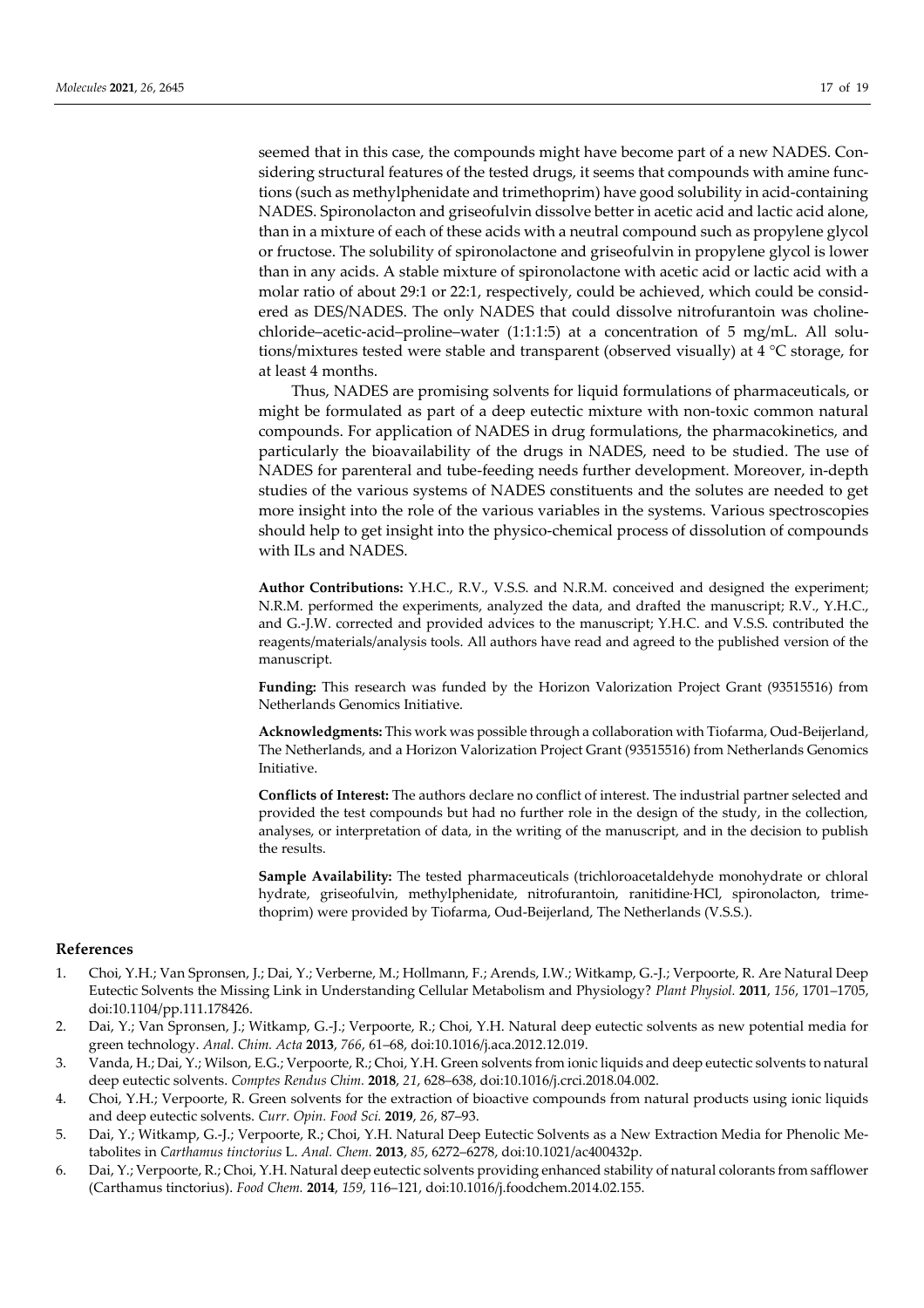seemed that in this case, the compounds might have become part of a new NADES. Considering structural features of the tested drugs, it seems that compounds with amine functions (such as methylphenidate and trimethoprim) have good solubility in acid-containing NADES. Spironolacton and griseofulvin dissolve better in acetic acid and lactic acid alone, than in a mixture of each of these acids with a neutral compound such as propylene glycol or fructose. The solubility of spironolactone and griseofulvin in propylene glycol is lower than in any acids. A stable mixture of spironolactone with acetic acid or lactic acid with a molar ratio of about 29:1 or 22:1, respectively, could be achieved, which could be considered as DES/NADES. The only NADES that could dissolve nitrofurantoin was cholinechloride–acetic-acid–proline–water (1:1:1:5) at a concentration of 5 mg/mL. All solutions/mixtures tested were stable and transparent (observed visually) at 4 °C storage, for at least 4 months.

Thus, NADES are promising solvents for liquid formulations of pharmaceuticals, or might be formulated as part of a deep eutectic mixture with non-toxic common natural compounds. For application of NADES in drug formulations, the pharmacokinetics, and particularly the bioavailability of the drugs in NADES, need to be studied. The use of NADES for parenteral and tube-feeding needs further development. Moreover, in-depth studies of the various systems of NADES constituents and the solutes are needed to get more insight into the role of the various variables in the systems. Various spectroscopies should help to get insight into the physico-chemical process of dissolution of compounds with ILs and NADES.

**Author Contributions:** Y.H.C., R.V., V.S.S. and N.R.M. conceived and designed the experiment; N.R.M. performed the experiments, analyzed the data, and drafted the manuscript; R.V., Y.H.C., and G.-J.W. corrected and provided advices to the manuscript; Y.H.C. and V.S.S. contributed the reagents/materials/analysis tools. All authors have read and agreed to the published version of the manuscript.

**Funding:** This research was funded by the Horizon Valorization Project Grant (93515516) from Netherlands Genomics Initiative.

**Acknowledgments:** This work was possible through a collaboration with Tiofarma, Oud-Beijerland, The Netherlands, and a Horizon Valorization Project Grant (93515516) from Netherlands Genomics Initiative.

**Conflicts of Interest:** The authors declare no conflict of interest. The industrial partner selected and provided the test compounds but had no further role in the design of the study, in the collection, analyses, or interpretation of data, in the writing of the manuscript, and in the decision to publish the results.

**Sample Availability:** The tested pharmaceuticals (trichloroacetaldehyde monohydrate or chloral hydrate, griseofulvin, methylphenidate, nitrofurantoin, ranitidine·HCl, spironolacton, trimethoprim) were provided by Tiofarma, Oud-Beijerland, The Netherlands (V.S.S.).

#### **References**

- 1. Choi, Y.H.; Van Spronsen, J.; Dai, Y.; Verberne, M.; Hollmann, F.; Arends, I.W.; Witkamp, G.-J.; Verpoorte, R. Are Natural Deep Eutectic Solvents the Missing Link in Understanding Cellular Metabolism and Physiology? *Plant Physiol.* **2011**, *156*, 1701–1705, doi:10.1104/pp.111.178426.
- 2. Dai, Y.; Van Spronsen, J.; Witkamp, G.-J.; Verpoorte, R.; Choi, Y.H. Natural deep eutectic solvents as new potential media for green technology. *Anal. Chim. Acta* **2013**, *766*, 61–68, doi:10.1016/j.aca.2012.12.019.
- 3. Vanda, H.; Dai, Y.; Wilson, E.G.; Verpoorte, R.; Choi, Y.H. Green solvents from ionic liquids and deep eutectic solvents to natural deep eutectic solvents. *Comptes Rendus Chim.* **2018**, *21*, 628–638, doi:10.1016/j.crci.2018.04.002.
- 4. Choi, Y.H.; Verpoorte, R. Green solvents for the extraction of bioactive compounds from natural products using ionic liquids and deep eutectic solvents. *Curr. Opin. Food Sci.* **2019**, *26*, 87–93.
- 5. Dai, Y.; Witkamp, G.-J.; Verpoorte, R.; Choi, Y.H. Natural Deep Eutectic Solvents as a New Extraction Media for Phenolic Metabolites in *Carthamus tinctorius* L. *Anal. Chem.* **2013**, *85*, 6272–6278, doi:10.1021/ac400432p.
- 6. Dai, Y.; Verpoorte, R.; Choi, Y.H. Natural deep eutectic solvents providing enhanced stability of natural colorants from safflower (Carthamus tinctorius). *Food Chem.* **2014**, *159*, 116–121, doi:10.1016/j.foodchem.2014.02.155.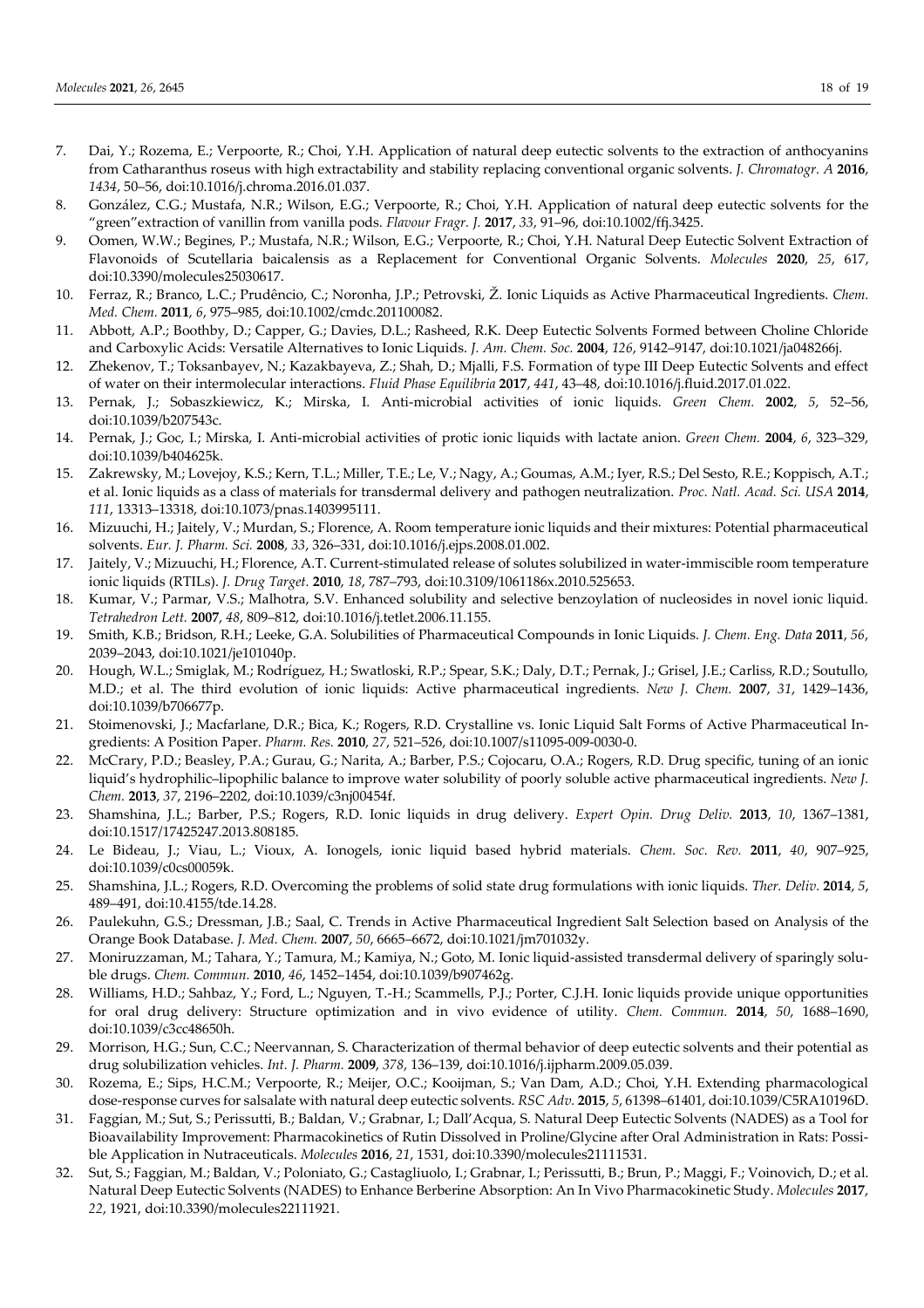- 7. Dai, Y.; Rozema, E.; Verpoorte, R.; Choi, Y.H. Application of natural deep eutectic solvents to the extraction of anthocyanins from Catharanthus roseus with high extractability and stability replacing conventional organic solvents. *J. Chromatogr. A* **2016**, *1434*, 50–56, doi:10.1016/j.chroma.2016.01.037.
- 8. González, C.G.; Mustafa, N.R.; Wilson, E.G.; Verpoorte, R.; Choi, Y.H. Application of natural deep eutectic solvents for the "green"extraction of vanillin from vanilla pods. *Flavour Fragr. J.* **2017**, *33*, 91–96, doi:10.1002/ffj.3425.
- 9. Oomen, W.W.; Begines, P.; Mustafa, N.R.; Wilson, E.G.; Verpoorte, R.; Choi, Y.H. Natural Deep Eutectic Solvent Extraction of Flavonoids of Scutellaria baicalensis as a Replacement for Conventional Organic Solvents. *Molecules* **2020**, *25*, 617, doi:10.3390/molecules25030617.
- 10. Ferraz, R.; Branco, L.C.; Prudêncio, C.; Noronha, J.P.; Petrovski, Ž. Ionic Liquids as Active Pharmaceutical Ingredients. *Chem. Med. Chem.* **2011**, *6*, 975–985, doi:10.1002/cmdc.201100082.
- 11. Abbott, A.P.; Boothby, D.; Capper, G.; Davies, D.L.; Rasheed, R.K. Deep Eutectic Solvents Formed between Choline Chloride and Carboxylic Acids: Versatile Alternatives to Ionic Liquids. *J. Am. Chem. Soc.* **2004**, *126*, 9142–9147, doi:10.1021/ja048266j.
- 12. Zhekenov, T.; Toksanbayev, N.; Kazakbayeva, Z.; Shah, D.; Mjalli, F.S. Formation of type III Deep Eutectic Solvents and effect of water on their intermolecular interactions. *Fluid Phase Equilibria* **2017**, *441*, 43–48, doi:10.1016/j.fluid.2017.01.022.
- 13. Pernak, J.; Sobaszkiewicz, K.; Mirska, I. Anti-microbial activities of ionic liquids. *Green Chem.* **2002**, *5*, 52–56, doi:10.1039/b207543c.
- 14. Pernak, J.; Goc, I.; Mirska, I. Anti-microbial activities of protic ionic liquids with lactate anion. *Green Chem.* **2004**, *6*, 323–329, doi:10.1039/b404625k.
- 15. Zakrewsky, M.; Lovejoy, K.S.; Kern, T.L.; Miller, T.E.; Le, V.; Nagy, A.; Goumas, A.M.; Iyer, R.S.; Del Sesto, R.E.; Koppisch, A.T.; et al. Ionic liquids as a class of materials for transdermal delivery and pathogen neutralization. *Proc. Natl. Acad. Sci. USA* **2014**, *111*, 13313–13318, doi:10.1073/pnas.1403995111.
- 16. Mizuuchi, H.; Jaitely, V.; Murdan, S.; Florence, A. Room temperature ionic liquids and their mixtures: Potential pharmaceutical solvents. *Eur. J. Pharm. Sci.* **2008**, *33*, 326–331, doi:10.1016/j.ejps.2008.01.002.
- 17. Jaitely, V.; Mizuuchi, H.; Florence, A.T. Current-stimulated release of solutes solubilized in water-immiscible room temperature ionic liquids (RTILs). *J. Drug Target.* **2010**, *18*, 787–793, doi:10.3109/1061186x.2010.525653.
- 18. Kumar, V.; Parmar, V.S.; Malhotra, S.V. Enhanced solubility and selective benzoylation of nucleosides in novel ionic liquid. *Tetrahedron Lett.* **2007**, *48*, 809–812, doi:10.1016/j.tetlet.2006.11.155.
- 19. Smith, K.B.; Bridson, R.H.; Leeke, G.A. Solubilities of Pharmaceutical Compounds in Ionic Liquids. *J. Chem. Eng. Data* **2011**, *56*, 2039–2043, doi:10.1021/je101040p.
- 20. Hough, W.L.; Smiglak, M.; Rodríguez, H.; Swatloski, R.P.; Spear, S.K.; Daly, D.T.; Pernak, J.; Grisel, J.E.; Carliss, R.D.; Soutullo, M.D.; et al. The third evolution of ionic liquids: Active pharmaceutical ingredients. *New J. Chem.* **2007**, *31*, 1429–1436, doi:10.1039/b706677p.
- 21. Stoimenovski, J.; Macfarlane, D.R.; Bica, K.; Rogers, R.D. Crystalline vs. Ionic Liquid Salt Forms of Active Pharmaceutical Ingredients: A Position Paper. *Pharm. Res.* **2010**, *27*, 521–526, doi:10.1007/s11095-009-0030-0.
- 22. McCrary, P.D.; Beasley, P.A.; Gurau, G.; Narita, A.; Barber, P.S.; Cojocaru, O.A.; Rogers, R.D. Drug specific, tuning of an ionic liquid's hydrophilic–lipophilic balance to improve water solubility of poorly soluble active pharmaceutical ingredients. *New J. Chem.* **2013**, *37*, 2196–2202, doi:10.1039/c3nj00454f.
- 23. Shamshina, J.L.; Barber, P.S.; Rogers, R.D. Ionic liquids in drug delivery. *Expert Opin. Drug Deliv.* **2013**, *10*, 1367–1381, doi:10.1517/17425247.2013.808185.
- 24. Le Bideau, J.; Viau, L.; Vioux, A. Ionogels, ionic liquid based hybrid materials. *Chem. Soc. Rev.* **2011**, *40*, 907–925, doi:10.1039/c0cs00059k.
- 25. Shamshina, J.L.; Rogers, R.D. Overcoming the problems of solid state drug formulations with ionic liquids. *Ther. Deliv.* **2014**, *5*, 489–491, doi:10.4155/tde.14.28.
- 26. Paulekuhn, G.S.; Dressman, J.B.; Saal, C. Trends in Active Pharmaceutical Ingredient Salt Selection based on Analysis of the Orange Book Database. *J. Med. Chem.* **2007**, *50*, 6665–6672, doi:10.1021/jm701032y.
- 27. Moniruzzaman, M.; Tahara, Y.; Tamura, M.; Kamiya, N.; Goto, M. Ionic liquid-assisted transdermal delivery of sparingly soluble drugs. *Chem. Commun.* **2010**, *46*, 1452–1454, doi:10.1039/b907462g.
- 28. Williams, H.D.; Sahbaz, Y.; Ford, L.; Nguyen, T.-H.; Scammells, P.J.; Porter, C.J.H. Ionic liquids provide unique opportunities for oral drug delivery: Structure optimization and in vivo evidence of utility. *Chem. Commun.* **2014**, *50*, 1688–1690, doi:10.1039/c3cc48650h.
- 29. Morrison, H.G.; Sun, C.C.; Neervannan, S. Characterization of thermal behavior of deep eutectic solvents and their potential as drug solubilization vehicles. *Int. J. Pharm.* **2009**, *378*, 136–139, doi:10.1016/j.ijpharm.2009.05.039.
- 30. Rozema, E.; Sips, H.C.M.; Verpoorte, R.; Meijer, O.C.; Kooijman, S.; Van Dam, A.D.; Choi, Y.H. Extending pharmacological dose-response curves for salsalate with natural deep eutectic solvents. *RSC Adv.* **2015**, *5*, 61398–61401, doi:10.1039/C5RA10196D.
- 31. Faggian, M.; Sut, S.; Perissutti, B.; Baldan, V.; Grabnar, I.; Dall'Acqua, S. Natural Deep Eutectic Solvents (NADES) as a Tool for Bioavailability Improvement: Pharmacokinetics of Rutin Dissolved in Proline/Glycine after Oral Administration in Rats: Possible Application in Nutraceuticals. *Molecules* **2016**, *21*, 1531, doi:10.3390/molecules21111531.
- 32. Sut, S.; Faggian, M.; Baldan, V.; Poloniato, G.; Castagliuolo, I.; Grabnar, I.; Perissutti, B.; Brun, P.; Maggi, F.; Voinovich, D.; et al. Natural Deep Eutectic Solvents (NADES) to Enhance Berberine Absorption: An In Vivo Pharmacokinetic Study. *Molecules* **2017**, *22*, 1921, doi:10.3390/molecules22111921.